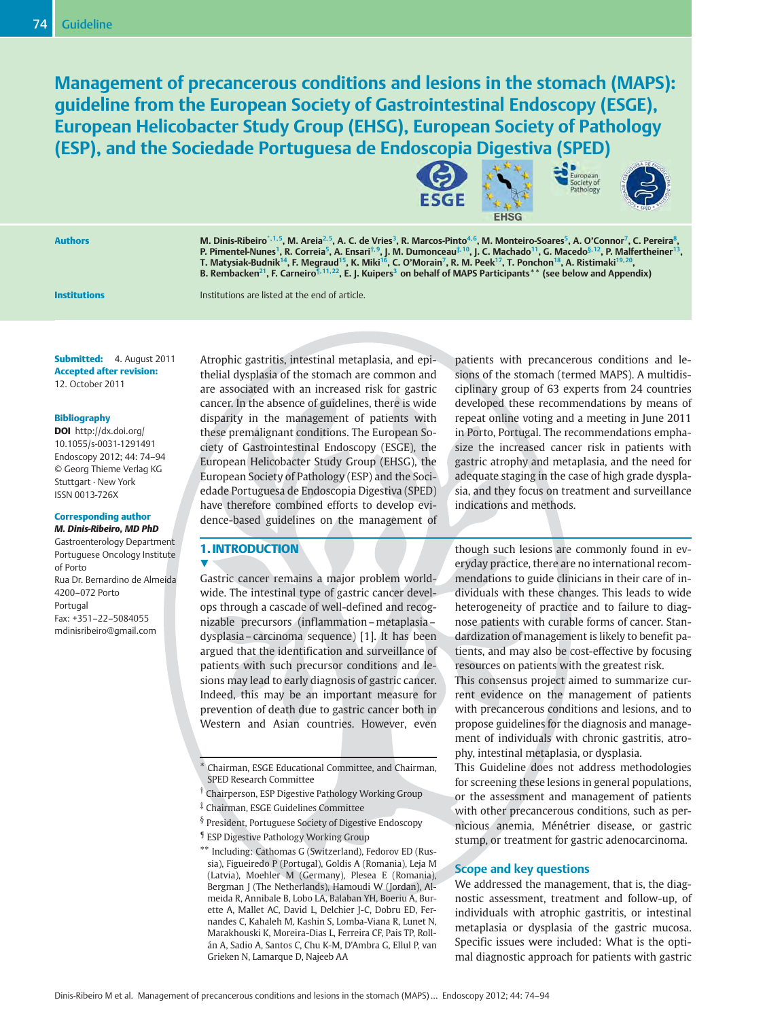Management of precancerous conditions and lesions in the stomach (MAPS): guideline from the European Society of Gastrointestinal Endoscopy (ESGE), European Helicobacter Study Group (EHSG), European Society of Pathology (ESP), and the Sociedade Portuguesa de Endoscopia Digestiva (SPED)





#### Authors M. Dinis-Ribeiro<sup>\*, 1, 5</sup>, M. Areia<sup>2, 5</sup>, A. C. de Vries<sup>3</sup>, R. Marcos-Pinto<sup>4, 6</sup>, M. Monteiro-Soares<sup>5</sup>, A. O'Connor<sup>7</sup>, C. Pereira<sup>8</sup>,

P. Pimentel-Nunes<sup>1</sup>, R. Correia<sup>5</sup>, A. Ensari<sup>†, 9</sup>, J. M. Dumonceau $^{\ddagger,10}$ , J. C. Machado<sup>11</sup>, G. Macedo $^{\S,12}$ , P. Malfertheiner<sup>13</sup>, T. Matysiak-Budnik<sup>14</sup>, F. Megraud<sup>15</sup>, K. Miki<sup>16</sup>, C. O'Morain<sup>7</sup>, R. M. Peek<sup>17</sup>, T. Ponchon<sup>18</sup>, A. Ristimaki<sup>19,20</sup>, B. Rembacken<sup>21</sup>, F. Carneiro¶<sup>, 11, 22</sup>, E. J. Kuipers<sup>3</sup> on behalf of MAPS Participants\*\* (see below and Appendix)

**Institutions Institutions Institutions** are listed at the end of article.

Submitted: 4. August 2011 Accepted after revision: 12. October 2011

#### Bibliography

DOI http://dx.doi.org/ 10.1055/s-0031-1291491 Endoscopy 2012; 44: 74–94 © Georg Thieme Verlag KG Stuttgart · New York ISSN 0013-726X

#### Corresponding author M. Dinis-Ribeiro, MD PhD

Gastroenterology Department Portuguese Oncology Institute of Porto Rua Dr. Bernardino de Almeida 4200–072 Porto Portugal Fax: +351–22–5084055 mdinisribeiro@gmail.com

Atrophic gastritis, intestinal metaplasia, and epithelial dysplasia of the stomach are common and are associated with an increased risk for gastric cancer. In the absence of guidelines, there is wide disparity in the management of patients with these premalignant conditions. The European Society of Gastrointestinal Endoscopy (ESGE), the European Helicobacter Study Group (EHSG), the European Society of Pathology (ESP) and the Sociedade Portuguesa de Endoscopia Digestiva (SPED) have therefore combined efforts to develop evidence-based guidelines on the management of

# 1.INTRODUCTION

 $\blacktriangledown$ 

Gastric cancer remains a major problem worldwide. The intestinal type of gastric cancer develops through a cascade of well-defined and recognizable precursors (inflammation–metaplasia– dysplasia–carcinoma sequence) [1]. It has been argued that the identification and surveillance of patients with such precursor conditions and lesions may lead to early diagnosis of gastric cancer. Indeed, this may be an important measure for prevention of death due to gastric cancer both in Western and Asian countries. However, even

- † Chairperson, ESP Digestive Pathology Working Group
- ‡ Chairman, ESGE Guidelines Committee

patients with precancerous conditions and lesions of the stomach (termed MAPS). A multidisciplinary group of 63 experts from 24 countries developed these recommendations by means of repeat online voting and a meeting in June 2011 in Porto, Portugal. The recommendations emphasize the increased cancer risk in patients with gastric atrophy and metaplasia, and the need for adequate staging in the case of high grade dysplasia, and they focus on treatment and surveillance indications and methods.

though such lesions are commonly found in everyday practice, there are no international recommendations to guide clinicians in their care of individuals with these changes. This leads to wide heterogeneity of practice and to failure to diagnose patients with curable forms of cancer. Standardization of management is likely to benefit patients, and may also be cost-effective by focusing resources on patients with the greatest risk.

This consensus project aimed to summarize current evidence on the management of patients with precancerous conditions and lesions, and to propose guidelines for the diagnosis and management of individuals with chronic gastritis, atrophy, intestinal metaplasia, or dysplasia.

This Guideline does not address methodologies for screening these lesions in general populations, or the assessment and management of patients with other precancerous conditions, such as pernicious anemia, Ménétrier disease, or gastric stump, or treatment for gastric adenocarcinoma.

#### Scope and key questions

We addressed the management, that is, the diagnostic assessment, treatment and follow-up, of individuals with atrophic gastritis, or intestinal metaplasia or dysplasia of the gastric mucosa. Specific issues were included: What is the optimal diagnostic approach for patients with gastric

Chairman, ESGE Educational Committee, and Chairman, SPED Research Committee

<sup>§</sup> President, Portuguese Society of Digestive Endoscopy ¶ ESP Digestive Pathology Working Group

<sup>\*\*</sup> Including: Cathomas G (Switzerland), Fedorov ED (Russia), Figueiredo P (Portugal), Goldis A (Romania), Leja M (Latvia), Moehler M (Germany), Plesea E (Romania), Bergman J (The Netherlands), Hamoudi W (Jordan), Almeida R, Annibale B, Lobo LA, Balaban YH, Boeriu A, Burette A, Mallet AC, David L, Delchier J-C, Dobru ED, Fernandes C, Kahaleh M, Kashin S, Lomba-Viana R, Lunet N, Marakhouski K, Moreira-Dias L, Ferreira CF, Pais TP, Rollán A, Sadio A, Santos C, Chu K-M, D'Ambra G, Ellul P, van Grieken N, Lamarque D, Najeeb AA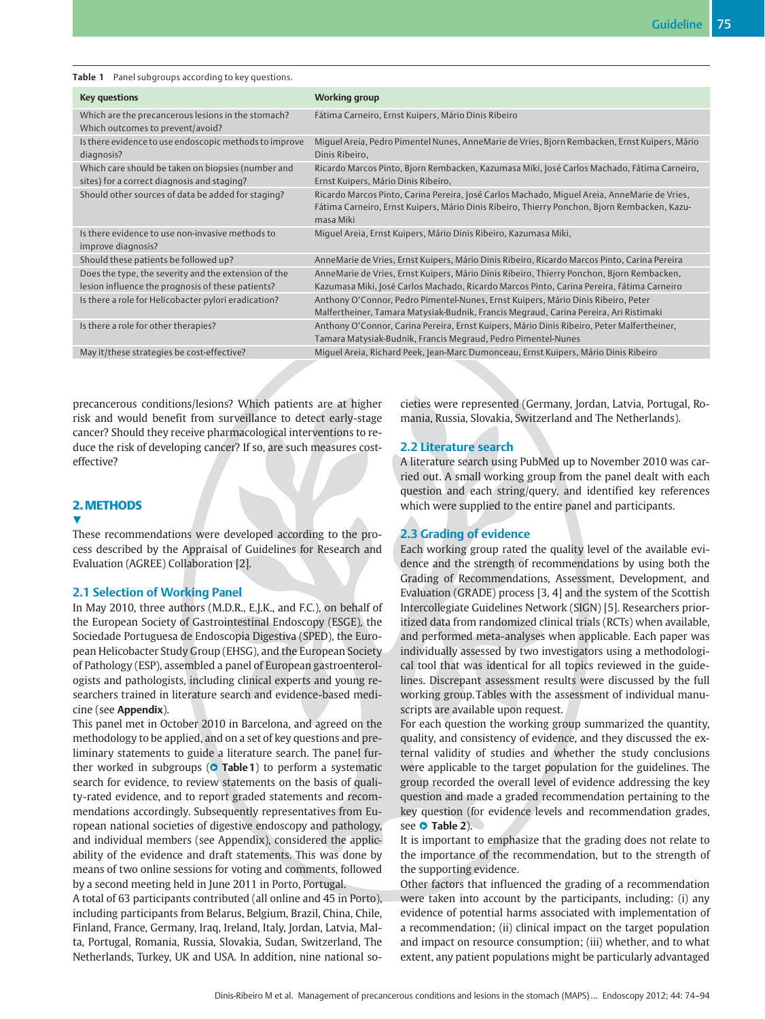Table 1 Panel subgroups according to key questions.

| <b>Key questions</b>                                                                                      | <b>Working group</b>                                                                                                                                                                                      |
|-----------------------------------------------------------------------------------------------------------|-----------------------------------------------------------------------------------------------------------------------------------------------------------------------------------------------------------|
| Which are the precancerous lesions in the stomach?<br>Which outcomes to prevent/avoid?                    | Fátima Carneiro, Ernst Kuipers, Mário Dinis Ribeiro                                                                                                                                                       |
| Is there evidence to use endoscopic methods to improve<br>diagnosis?                                      | Miquel Areia, Pedro Pimentel Nunes, AnneMarie de Vries, Bjorn Rembacken, Ernst Kuipers, Mário<br>Dinis Ribeiro,                                                                                           |
| Which care should be taken on biopsies (number and<br>sites) for a correct diagnosis and staging?         | Ricardo Marcos Pinto, Bjorn Rembacken, Kazumasa Miki, José Carlos Machado, Fátima Carneiro,<br>Ernst Kuipers, Mário Dinis Ribeiro,                                                                        |
| Should other sources of data be added for staging?                                                        | Ricardo Marcos Pinto, Carina Pereira, José Carlos Machado, Miquel Areia, AnneMarie de Vries,<br>Fátima Carneiro, Ernst Kuipers, Mário Dinis Ribeiro, Thierry Ponchon, Bjorn Rembacken, Kazu-<br>masa Miki |
| Is there evidence to use non-invasive methods to<br>improve diagnosis?                                    | Miquel Areia, Ernst Kuipers, Mário Dinis Ribeiro, Kazumasa Miki,                                                                                                                                          |
| Should these patients be followed up?                                                                     | AnneMarie de Vries, Ernst Kuipers, Mário Dinis Ribeiro, Ricardo Marcos Pinto, Carina Pereira                                                                                                              |
| Does the type, the severity and the extension of the<br>lesion influence the prognosis of these patients? | AnneMarie de Vries, Ernst Kuipers, Mário Dinis Ribeiro, Thierry Ponchon, Bjorn Rembacken,<br>Kazumasa Miki, José Carlos Machado, Ricardo Marcos Pinto, Carina Pereira, Fátima Carneiro                    |
| Is there a role for Helicobacter pylori eradication?                                                      | Anthony O'Connor, Pedro Pimentel-Nunes, Ernst Kuipers, Mário Dinis Ribeiro, Peter<br>Malfertheiner, Tamara Matysiak-Budnik, Francis Megraud, Carina Pereira, Ari Ristimaki                                |
| Is there a role for other therapies?                                                                      | Anthony O'Connor, Carina Pereira, Ernst Kuipers, Mário Dinis Ribeiro, Peter Malfertheiner,<br>Tamara Matysiak-Budnik, Francis Megraud, Pedro Pimentel-Nunes                                               |
| May it/these strategies be cost-effective?                                                                | Miquel Areia, Richard Peek, Jean-Marc Dumonceau, Ernst Kuipers, Mário Dinis Ribeiro                                                                                                                       |

precancerous conditions/lesions? Which patients are at higher risk and would benefit from surveillance to detect early-stage cancer? Should they receive pharmacological interventions to reduce the risk of developing cancer? If so, are such measures costeffective?

## 2.METHODS

#### V,

These recommendations were developed according to the process described by the Appraisal of Guidelines for Research and Evaluation (AGREE) Collaboration [2].

#### 2.1 Selection of Working Panel

In May 2010, three authors (M.D.R., E.J.K., and F.C.), on behalf of the European Society of Gastrointestinal Endoscopy (ESGE), the Sociedade Portuguesa de Endoscopia Digestiva (SPED), the European Helicobacter Study Group (EHSG), and the European Society of Pathology (ESP), assembled a panel of European gastroenterologists and pathologists, including clinical experts and young researchers trained in literature search and evidence-based medicine (see Appendix).

This panel met in October 2010 in Barcelona, and agreed on the methodology to be applied, and on a set of key questions and preliminary statements to guide a literature search. The panel further worked in subgroups ( $\bullet$  Table 1) to perform a systematic search for evidence, to review statements on the basis of quality-rated evidence, and to report graded statements and recommendations accordingly. Subsequently representatives from European national societies of digestive endoscopy and pathology, and individual members (see Appendix), considered the applicability of the evidence and draft statements. This was done by means of two online sessions for voting and comments, followed by a second meeting held in June 2011 in Porto, Portugal.

A total of 63 participants contributed (all online and 45 in Porto), including participants from Belarus, Belgium, Brazil, China, Chile, Finland, France, Germany, Iraq, Ireland, Italy, Jordan, Latvia, Malta, Portugal, Romania, Russia, Slovakia, Sudan, Switzerland, The Netherlands, Turkey, UK and USA. In addition, nine national societies were represented (Germany, Jordan, Latvia, Portugal, Romania, Russia, Slovakia, Switzerland and The Netherlands).

## 2.2 Literature search

A literature search using PubMed up to November 2010 was carried out. A small working group from the panel dealt with each question and each string/query, and identified key references which were supplied to the entire panel and participants.

## 2.3 Grading of evidence

Each working group rated the quality level of the available evidence and the strength of recommendations by using both the Grading of Recommendations, Assessment, Development, and Evaluation (GRADE) process [3, 4] and the system of the Scottish Intercollegiate Guidelines Network (SIGN) [5]. Researchers prioritized data from randomized clinical trials (RCTs) when available, and performed meta-analyses when applicable. Each paper was individually assessed by two investigators using a methodological tool that was identical for all topics reviewed in the guidelines. Discrepant assessment results were discussed by the full working group. Tables with the assessment of individual manuscripts are available upon request.

For each question the working group summarized the quantity, quality, and consistency of evidence, and they discussed the external validity of studies and whether the study conclusions were applicable to the target population for the guidelines. The group recorded the overall level of evidence addressing the key question and made a graded recommendation pertaining to the key question (for evidence levels and recommendation grades, see O Table 2).

It is important to emphasize that the grading does not relate to the importance of the recommendation, but to the strength of the supporting evidence.

Other factors that influenced the grading of a recommendation were taken into account by the participants, including: (i) any evidence of potential harms associated with implementation of a recommendation; (ii) clinical impact on the target population and impact on resource consumption; (iii) whether, and to what extent, any patient populations might be particularly advantaged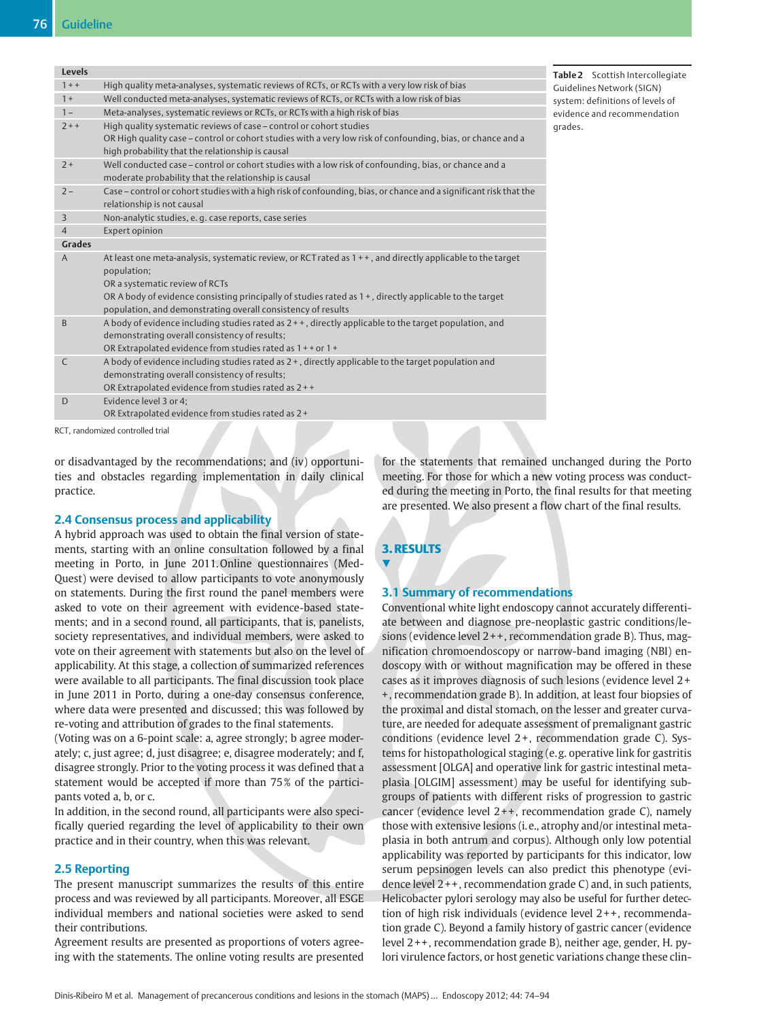| Levels         |                                                                                                                                                                         |
|----------------|-------------------------------------------------------------------------------------------------------------------------------------------------------------------------|
| $1 + +$        | High quality meta-analyses, systematic reviews of RCTs, or RCTs with a very low risk of bias                                                                            |
| $1 +$          | Well conducted meta-analyses, systematic reviews of RCTs, or RCTs with a low risk of bias                                                                               |
| $1 -$          | Meta-analyses, systematic reviews or RCTs, or RCTs with a high risk of bias                                                                                             |
| $2 + +$        | High quality systematic reviews of case - control or cohort studies                                                                                                     |
|                | OR High quality case - control or cohort studies with a very low risk of confounding, bias, or chance and a<br>high probability that the relationship is causal         |
| $2+$           | Well conducted case - control or cohort studies with a low risk of confounding, bias, or chance and a<br>moderate probability that the relationship is causal           |
| $2 -$          | Case – control or cohort studies with a high risk of confounding, bias, or chance and a significant risk that the<br>relationship is not causal                         |
| $\overline{3}$ | Non-analytic studies, e. q. case reports, case series                                                                                                                   |
| $\overline{4}$ | Expert opinion                                                                                                                                                          |
| <b>Grades</b>  |                                                                                                                                                                         |
| A              | At least one meta-analysis, systematic review, or RCT rated as 1 + +, and directly applicable to the target<br>population;                                              |
|                | OR a systematic review of RCTs                                                                                                                                          |
|                | OR A body of evidence consisting principally of studies rated as 1 +, directly applicable to the target<br>population, and demonstrating overall consistency of results |
| B              | A body of evidence including studies rated as $2 + +$ , directly applicable to the target population, and<br>demonstrating overall consistency of results;              |
|                | OR Extrapolated evidence from studies rated as 1 + + or 1 +                                                                                                             |
| C              | A body of evidence including studies rated as 2 +, directly applicable to the target population and<br>demonstrating overall consistency of results;                    |
|                | OR Extrapolated evidence from studies rated as 2++                                                                                                                      |
| D              | Evidence level 3 or 4:                                                                                                                                                  |
|                | OR Extrapolated evidence from studies rated as 2+                                                                                                                       |
|                |                                                                                                                                                                         |

RCT, randomized controlled trial

or disadvantaged by the recommendations; and (iv) opportunities and obstacles regarding implementation in daily clinical practice.

#### 2.4 Consensus process and applicability

A hybrid approach was used to obtain the final version of statements, starting with an online consultation followed by a final meeting in Porto, in June 2011. Online questionnaires (Med-Quest) were devised to allow participants to vote anonymously on statements. During the first round the panel members were asked to vote on their agreement with evidence-based statements; and in a second round, all participants, that is, panelists, society representatives, and individual members, were asked to vote on their agreement with statements but also on the level of applicability. At this stage, a collection of summarized references were available to all participants. The final discussion took place in June 2011 in Porto, during a one-day consensus conference, where data were presented and discussed; this was followed by re-voting and attribution of grades to the final statements.

(Voting was on a 6-point scale: a, agree strongly; b agree moderately; c, just agree; d, just disagree; e, disagree moderately; and f, disagree strongly. Prior to the voting process it was defined that a statement would be accepted if more than 75% of the participants voted a, b, or c.

In addition, in the second round, all participants were also specifically queried regarding the level of applicability to their own practice and in their country, when this was relevant.

#### 2.5 Reporting

The present manuscript summarizes the results of this entire process and was reviewed by all participants. Moreover, all ESGE individual members and national societies were asked to send their contributions.

Agreement results are presented as proportions of voters agreeing with the statements. The online voting results are presented for the statements that remained unchanged during the Porto meeting. For those for which a new voting process was conducted during the meeting in Porto, the final results for that meeting are presented. We also present a flow chart of the final results.

# 3. RESULTS

#### $\blacktriangledown$

# 3.1 Summary of recommendations

Conventional white light endoscopy cannot accurately differentiate between and diagnose pre-neoplastic gastric conditions/lesions (evidence level  $2++$ , recommendation grade B). Thus, magnification chromoendoscopy or narrow-band imaging (NBI) endoscopy with or without magnification may be offered in these cases as it improves diagnosis of such lesions (evidence level 2 + + , recommendation grade B). In addition, at least four biopsies of the proximal and distal stomach, on the lesser and greater curvature, are needed for adequate assessment of premalignant gastric conditions (evidence level 2+, recommendation grade C). Systems for histopathological staging (e. g. operative link for gastritis assessment [OLGA] and operative link for gastric intestinal metaplasia [OLGIM] assessment) may be useful for identifying subgroups of patients with different risks of progression to gastric cancer (evidence level  $2++$ , recommendation grade C), namely those with extensive lesions (i. e., atrophy and/or intestinal metaplasia in both antrum and corpus). Although only low potential applicability was reported by participants for this indicator, low serum pepsinogen levels can also predict this phenotype (evidence level  $2++$ , recommendation grade C) and, in such patients, Helicobacter pylori serology may also be useful for further detection of high risk individuals (evidence level  $2++$ , recommendation grade C). Beyond a family history of gastric cancer (evidence level 2++, recommendation grade B), neither age, gender, H. pylori virulence factors, or host genetic variations change these clin-

Table 2 Scottish Intercollegiate Guidelines Network (SIGN) system: definitions of levels of evidence and recommendation grades.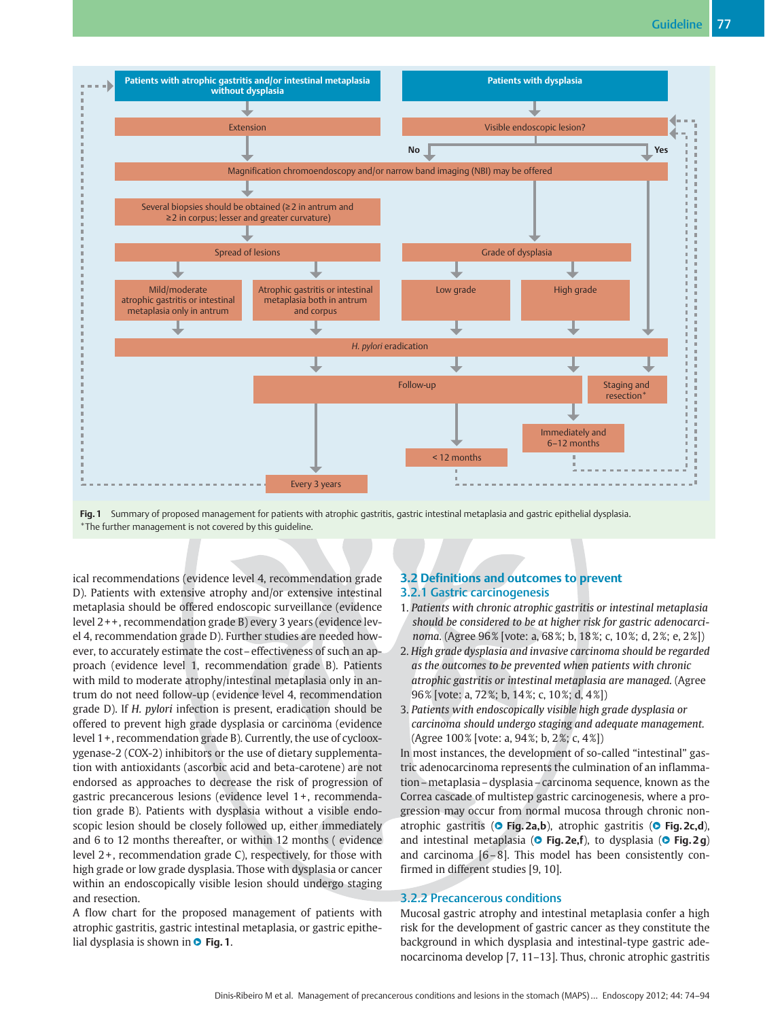

Fig. 1 Summary of proposed management for patients with atrophic gastritis, gastric intestinal metaplasia and gastric epithelial dysplasia. \*The further management is not covered by this guideline.

ical recommendations (evidence level 4, recommendation grade D). Patients with extensive atrophy and/or extensive intestinal metaplasia should be offered endoscopic surveillance (evidence level 2++, recommendation grade B) every 3 years (evidence level 4, recommendation grade D). Further studies are needed however, to accurately estimate the cost–effectiveness of such an approach (evidence level 1, recommendation grade B). Patients with mild to moderate atrophy/intestinal metaplasia only in antrum do not need follow-up (evidence level 4, recommendation grade D). If H. pylori infection is present, eradication should be offered to prevent high grade dysplasia or carcinoma (evidence level 1 +, recommendation grade B). Currently, the use of cyclooxygenase-2 (COX-2) inhibitors or the use of dietary supplementation with antioxidants (ascorbic acid and beta-carotene) are not endorsed as approaches to decrease the risk of progression of gastric precancerous lesions (evidence level 1 + , recommendation grade B). Patients with dysplasia without a visible endoscopic lesion should be closely followed up, either immediately and 6 to 12 months thereafter, or within 12 months ( evidence level 2 + , recommendation grade C), respectively, for those with high grade or low grade dysplasia. Those with dysplasia or cancer within an endoscopically visible lesion should undergo staging and resection.

A flow chart for the proposed management of patients with atrophic gastritis, gastric intestinal metaplasia, or gastric epithelial dysplasia is shown in  $\circ$  Fig. 1.

# 3.2 Definitions and outcomes to prevent 3.2.1 Gastric carcinogenesis

- 1. Patients with chronic atrophic gastritis or intestinal metaplasia should be considered to be at higher risk for gastric adenocarcinoma. (Agree 96% [vote: a, 68%; b, 18%; c, 10%; d, 2%; e, 2%])
- 2. High grade dysplasia and invasive carcinoma should be regarded as the outcomes to be prevented when patients with chronic atrophic gastritis or intestinal metaplasia are managed. (Agree 96 % [vote: a, 72 %; b, 14 %; c, 10 %; d, 4 %])
- 3. Patients with endoscopically visible high grade dysplasia or carcinoma should undergo staging and adequate management. (Agree 100% [vote: a, 94%; b, 2%; c, 4%])

In most instances, the development of so-called "intestinal" gastric adenocarcinoma represents the culmination of an inflammation–metaplasia–dysplasia–carcinoma sequence, known as the Correa cascade of multistep gastric carcinogenesis, where a progression may occur from normal mucosa through chronic nonatrophic gastritis ( $\bullet$  Fig. 2a,b), atrophic gastritis ( $\bullet$  Fig. 2c,d), and intestinal metaplasia ( $\bullet$  Fig. 2e, f), to dysplasia ( $\bullet$  Fig. 2g) and carcinoma  $[6-8]$ . This model has been consistently confirmed in different studies [9, 10].

# 3.2.2 Precancerous conditions

Mucosal gastric atrophy and intestinal metaplasia confer a high risk for the development of gastric cancer as they constitute the background in which dysplasia and intestinal-type gastric adenocarcinoma develop [7, 11–13]. Thus, chronic atrophic gastritis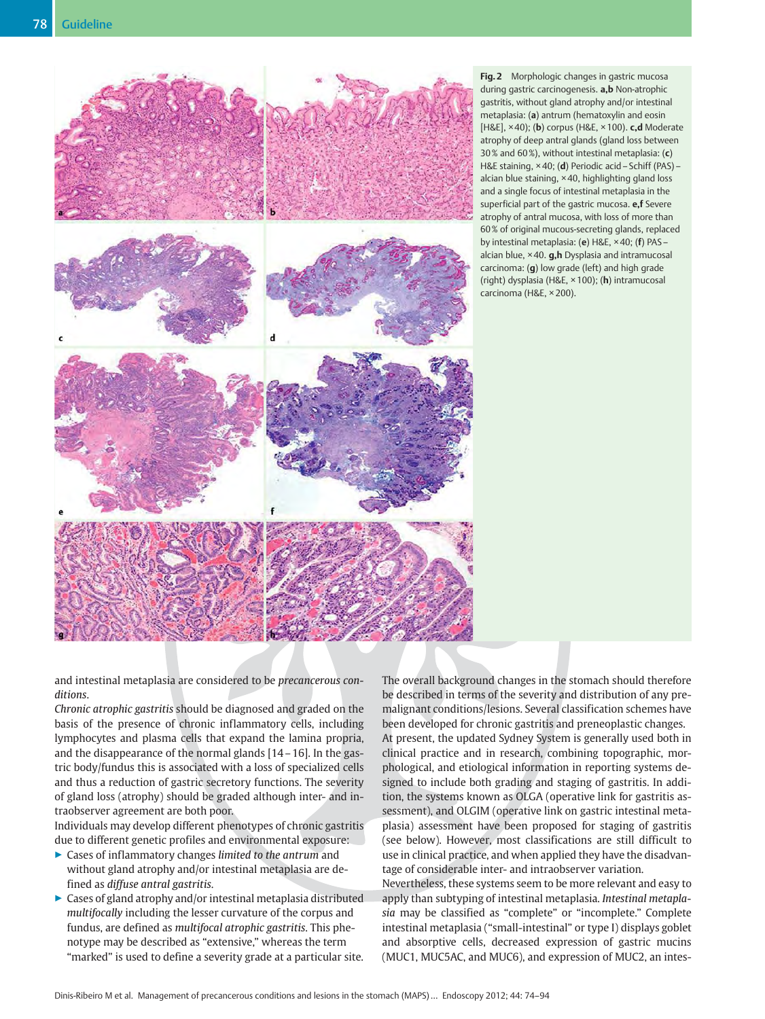

Fig. 2 Morphologic changes in gastric mucosa during gastric carcinogenesis. **a.b** Non-atrophic gastritis, without gland atrophy and/or intestinal metaplasia: (a) antrum (hematoxylin and eosin [H&E], ×40); (**b**) corpus (H&E, ×100). **c,d** Moderate atrophy of deep antral glands (gland loss between 30% and 60%), without intestinal metaplasia: (c) H&E staining, ×40; (**d**) Periodic acid - Schiff (PAS) alcian blue staining, × 40, highlighting gland loss and a single focus of intestinal metaplasia in the superficial part of the gastric mucosa. e,f Severe atrophy of antral mucosa, with loss of more than 60% of original mucous-secreting glands, replaced by intestinal metaplasia: (e) H&E, × 40; (f) PAS– alcian blue,  $\times$  40.  $q,h$  Dysplasia and intramucosal carcinoma: (g) low grade (left) and high grade (right) dysplasia (H&E, × 100); (h) intramucosal carcinoma (H&E, × 200).

and intestinal metaplasia are considered to be precancerous conditions.

Chronic atrophic gastritis should be diagnosed and graded on the basis of the presence of chronic inflammatory cells, including lymphocytes and plasma cells that expand the lamina propria, and the disappearance of the normal glands [14–16]. In the gastric body/fundus this is associated with a loss of specialized cells and thus a reduction of gastric secretory functions. The severity of gland loss (atrophy) should be graded although inter- and intraobserver agreement are both poor.

Individuals may develop different phenotypes of chronic gastritis due to different genetic profiles and environmental exposure:

- ▶ Cases of inflammatory changes limited to the antrum and without gland atrophy and/or intestinal metaplasia are defined as diffuse antral gastritis.
- $\triangleright$  Cases of gland atrophy and/or intestinal metaplasia distributed multifocally including the lesser curvature of the corpus and fundus, are defined as multifocal atrophic gastritis. This phenotype may be described as "extensive," whereas the term "marked" is used to define a severity grade at a particular site.

The overall background changes in the stomach should therefore be described in terms of the severity and distribution of any premalignant conditions/lesions. Several classification schemes have been developed for chronic gastritis and preneoplastic changes. At present, the updated Sydney System is generally used both in clinical practice and in research, combining topographic, morphological, and etiological information in reporting systems designed to include both grading and staging of gastritis. In addition, the systems known as OLGA (operative link for gastritis assessment), and OLGIM (operative link on gastric intestinal metaplasia) assessment have been proposed for staging of gastritis (see below). However, most classifications are still difficult to use in clinical practice, and when applied they have the disadvantage of considerable inter- and intraobserver variation.

Nevertheless, these systems seem to be more relevant and easy to apply than subtyping of intestinal metaplasia. Intestinal metaplasia may be classified as "complete" or "incomplete." Complete intestinal metaplasia ("small-intestinal" or type I) displays goblet and absorptive cells, decreased expression of gastric mucins (MUC1, MUC5AC, and MUC6), and expression of MUC2, an intes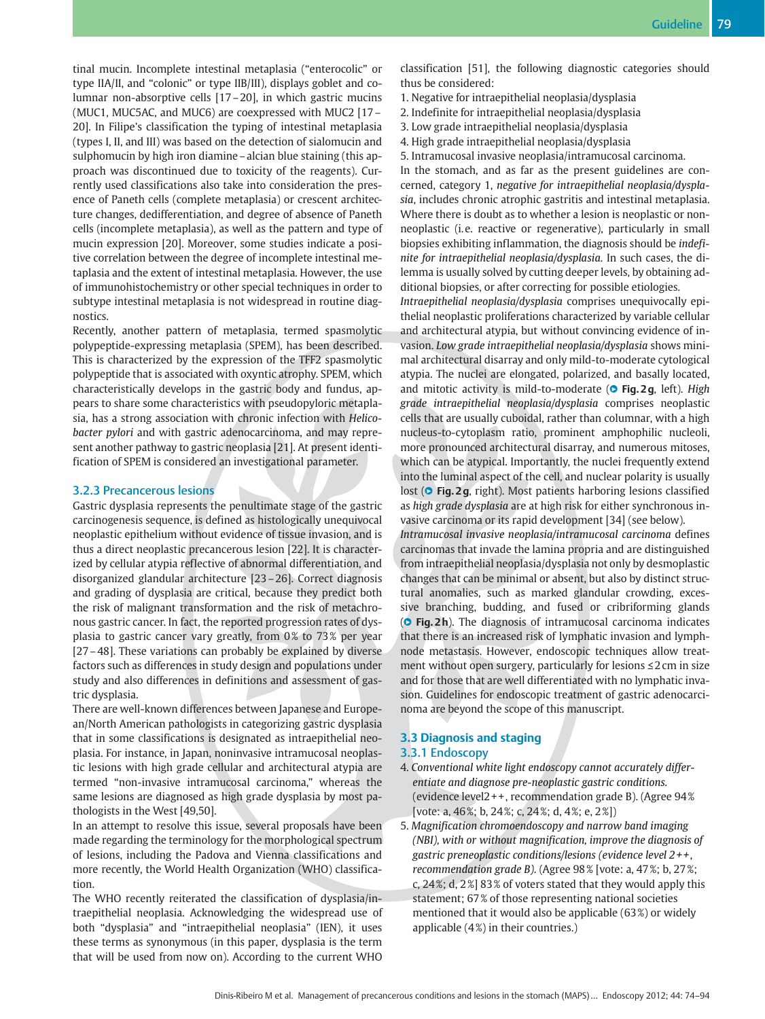tinal mucin. Incomplete intestinal metaplasia ("enterocolic" or type IIA/II, and "colonic" or type IIB/III), displays goblet and columnar non-absorptive cells [17–20], in which gastric mucins (MUC1, MUC5AC, and MUC6) are coexpressed with MUC2 [17– 20]. In Filipe's classification the typing of intestinal metaplasia (types I, II, and III) was based on the detection of sialomucin and sulphomucin by high iron diamine–alcian blue staining (this approach was discontinued due to toxicity of the reagents). Currently used classifications also take into consideration the presence of Paneth cells (complete metaplasia) or crescent architecture changes, dedifferentiation, and degree of absence of Paneth cells (incomplete metaplasia), as well as the pattern and type of mucin expression [20]. Moreover, some studies indicate a positive correlation between the degree of incomplete intestinal metaplasia and the extent of intestinal metaplasia. However, the use of immunohistochemistry or other special techniques in order to subtype intestinal metaplasia is not widespread in routine diagnostics.

Recently, another pattern of metaplasia, termed spasmolytic polypeptide-expressing metaplasia (SPEM), has been described. This is characterized by the expression of the TFF2 spasmolytic polypeptide that is associated with oxyntic atrophy. SPEM, which characteristically develops in the gastric body and fundus, appears to share some characteristics with pseudopyloric metaplasia, has a strong association with chronic infection with Helicobacter pylori and with gastric adenocarcinoma, and may represent another pathway to gastric neoplasia [21]. At present identification of SPEM is considered an investigational parameter.

#### 3.2.3 Precancerous lesions

Gastric dysplasia represents the penultimate stage of the gastric carcinogenesis sequence, is defined as histologically unequivocal neoplastic epithelium without evidence of tissue invasion, and is thus a direct neoplastic precancerous lesion [22]. It is characterized by cellular atypia reflective of abnormal differentiation, and disorganized glandular architecture [23–26]. Correct diagnosis and grading of dysplasia are critical, because they predict both the risk of malignant transformation and the risk of metachronous gastric cancer. In fact, the reported progression rates of dysplasia to gastric cancer vary greatly, from 0% to 73% per year [27–48]. These variations can probably be explained by diverse factors such as differences in study design and populations under study and also differences in definitions and assessment of gastric dysplasia.

There are well-known differences between Japanese and European/North American pathologists in categorizing gastric dysplasia that in some classifications is designated as intraepithelial neoplasia. For instance, in Japan, noninvasive intramucosal neoplastic lesions with high grade cellular and architectural atypia are termed "non-invasive intramucosal carcinoma," whereas the same lesions are diagnosed as high grade dysplasia by most pathologists in the West [49,50].

In an attempt to resolve this issue, several proposals have been made regarding the terminology for the morphological spectrum of lesions, including the Padova and Vienna classifications and more recently, the World Health Organization (WHO) classification.

The WHO recently reiterated the classification of dysplasia/intraepithelial neoplasia. Acknowledging the widespread use of both "dysplasia" and "intraepithelial neoplasia" (IEN), it uses these terms as synonymous (in this paper, dysplasia is the term that will be used from now on). According to the current WHO

classification [51], the following diagnostic categories should thus be considered:

- 1. Negative for intraepithelial neoplasia/dysplasia
- 2. Indefinite for intraepithelial neoplasia/dysplasia
- 3. Low grade intraepithelial neoplasia/dysplasia
- 4. High grade intraepithelial neoplasia/dysplasia
- 5. Intramucosal invasive neoplasia/intramucosal carcinoma.

In the stomach, and as far as the present guidelines are concerned, category 1, negative for intraepithelial neoplasia/dysplasia, includes chronic atrophic gastritis and intestinal metaplasia. Where there is doubt as to whether a lesion is neoplastic or nonneoplastic (i. e. reactive or regenerative), particularly in small biopsies exhibiting inflammation, the diagnosis should be indefinite for intraepithelial neoplasia/dysplasia. In such cases, the dilemma is usually solved by cutting deeper levels, by obtaining additional biopsies, or after correcting for possible etiologies.

Intraepithelial neoplasia/dysplasia comprises unequivocally epithelial neoplastic proliferations characterized by variable cellular and architectural atypia, but without convincing evidence of invasion. Low grade intraepithelial neoplasia/dysplasia shows minimal architectural disarray and only mild-to-moderate cytological atypia. The nuclei are elongated, polarized, and basally located, and mitotic activity is mild-to-moderate ( $\circ$  Fig. 2q, left). High grade intraepithelial neoplasia/dysplasia comprises neoplastic cells that are usually cuboidal, rather than columnar, with a high nucleus-to-cytoplasm ratio, prominent amphophilic nucleoli, more pronounced architectural disarray, and numerous mitoses, which can be atypical. Importantly, the nuclei frequently extend into the luminal aspect of the cell, and nuclear polarity is usually lost ( $\bullet$  Fig. 2g, right). Most patients harboring lesions classified as high grade dysplasia are at high risk for either synchronous invasive carcinoma or its rapid development [34] (see below).

Intramucosal invasive neoplasia/intramucosal carcinoma defines carcinomas that invade the lamina propria and are distinguished from intraepithelial neoplasia/dysplasia not only by desmoplastic changes that can be minimal or absent, but also by distinct structural anomalies, such as marked glandular crowding, excessive branching, budding, and fused or cribriforming glands (**O** Fig. 2h). The diagnosis of intramucosal carcinoma indicates that there is an increased risk of lymphatic invasion and lymphnode metastasis. However, endoscopic techniques allow treatment without open surgery, particularly for lesions ≤2 cm in size and for those that are well differentiated with no lymphatic invasion. Guidelines for endoscopic treatment of gastric adenocarcinoma are beyond the scope of this manuscript.

# 3.3 Diagnosis and staging

## 3.3.1 Endoscopy

- 4. Conventional white light endoscopy cannot accurately differentiate and diagnose pre-neoplastic gastric conditions. (evidence level2 + +, recommendation grade B). (Agree 94% [vote: a,  $46\%$ ; b,  $24\%$ ; c,  $24\%$ ; d,  $4\%$ ; e,  $2\%$ ])
- 5. Magnification chromoendoscopy and narrow band imaging (NBI), with or without magnification, improve the diagnosis of gastric preneoplastic conditions/lesions (evidence level 2 + + , recommendation grade B). (Agree 98% [vote: a, 47%; b, 27%; c,  $24\%$ ; d,  $2\%$ ] 83% of voters stated that they would apply this statement; 67 % of those representing national societies mentioned that it would also be applicable (63 %) or widely applicable  $(4\%)$  in their countries.)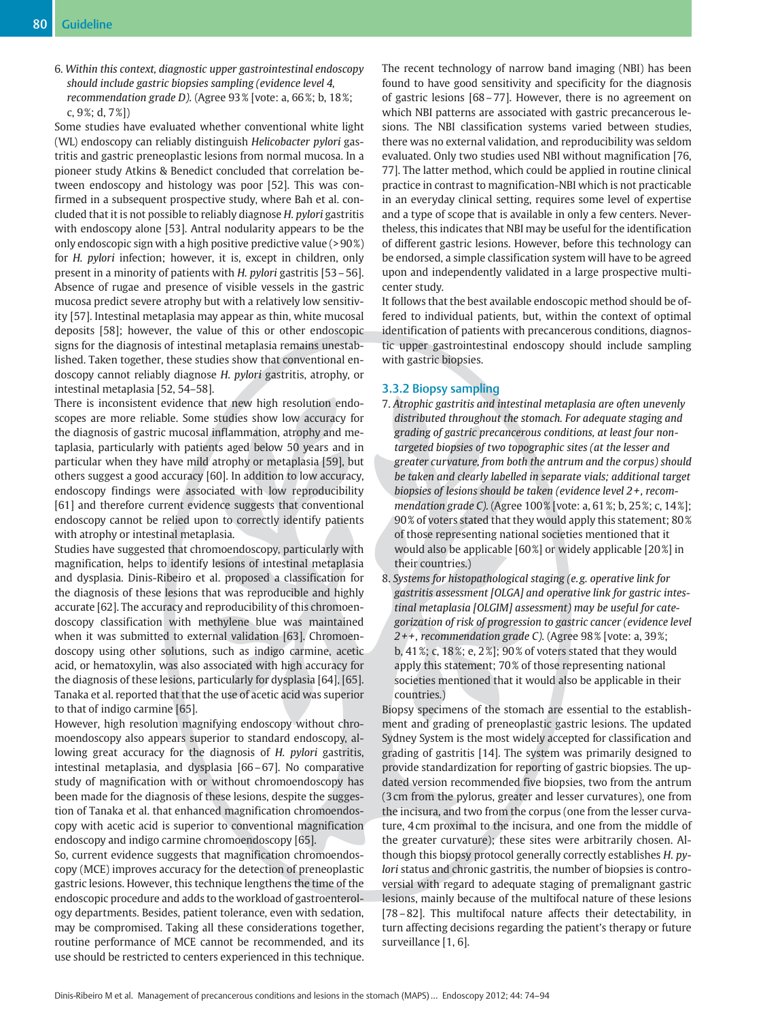6. Within this context, diagnostic upper gastrointestinal endoscopy should include gastric biopsies sampling (evidence level 4, recommendation grade D). (Agree 93% [vote: a, 66%; b, 18%; c, 9 %; d, 7 %])

Some studies have evaluated whether conventional white light (WL) endoscopy can reliably distinguish Helicobacter pylori gastritis and gastric preneoplastic lesions from normal mucosa. In a pioneer study Atkins & Benedict concluded that correlation between endoscopy and histology was poor [52]. This was confirmed in a subsequent prospective study, where Bah et al. concluded that it is not possible to reliably diagnose H. pylori gastritis with endoscopy alone [53]. Antral nodularity appears to be the only endoscopic sign with a high positive predictive value (> 90 %) for H. pylori infection; however, it is, except in children, only present in a minority of patients with H. pylori gastritis [53–56]. Absence of rugae and presence of visible vessels in the gastric mucosa predict severe atrophy but with a relatively low sensitivity [57]. Intestinal metaplasia may appear as thin, white mucosal deposits [58]; however, the value of this or other endoscopic signs for the diagnosis of intestinal metaplasia remains unestablished. Taken together, these studies show that conventional endoscopy cannot reliably diagnose H. pylori gastritis, atrophy, or intestinal metaplasia [52, 54–58].

There is inconsistent evidence that new high resolution endoscopes are more reliable. Some studies show low accuracy for the diagnosis of gastric mucosal inflammation, atrophy and metaplasia, particularly with patients aged below 50 years and in particular when they have mild atrophy or metaplasia [59], but others suggest a good accuracy [60]. In addition to low accuracy, endoscopy findings were associated with low reproducibility [61] and therefore current evidence suggests that conventional endoscopy cannot be relied upon to correctly identify patients with atrophy or intestinal metaplasia.

Studies have suggested that chromoendoscopy, particularly with magnification, helps to identify lesions of intestinal metaplasia and dysplasia. Dinis-Ribeiro et al. proposed a classification for the diagnosis of these lesions that was reproducible and highly accurate [62]. The accuracy and reproducibility of this chromoendoscopy classification with methylene blue was maintained when it was submitted to external validation [63]. Chromoendoscopy using other solutions, such as indigo carmine, acetic acid, or hematoxylin, was also associated with high accuracy for the diagnosis of these lesions, particularly for dysplasia [64], [65]. Tanaka et al. reported that that the use of acetic acid was superior to that of indigo carmine [65].

However, high resolution magnifying endoscopy without chromoendoscopy also appears superior to standard endoscopy, allowing great accuracy for the diagnosis of H. pylori gastritis, intestinal metaplasia, and dysplasia [66–67]. No comparative study of magnification with or without chromoendoscopy has been made for the diagnosis of these lesions, despite the suggestion of Tanaka et al. that enhanced magnification chromoendoscopy with acetic acid is superior to conventional magnification endoscopy and indigo carmine chromoendoscopy [65].

So, current evidence suggests that magnification chromoendoscopy (MCE) improves accuracy for the detection of preneoplastic gastric lesions. However, this technique lengthens the time of the endoscopic procedure and adds to the workload of gastroenterology departments. Besides, patient tolerance, even with sedation, may be compromised. Taking all these considerations together, routine performance of MCE cannot be recommended, and its use should be restricted to centers experienced in this technique. The recent technology of narrow band imaging (NBI) has been found to have good sensitivity and specificity for the diagnosis of gastric lesions [68–77]. However, there is no agreement on which NBI patterns are associated with gastric precancerous lesions. The NBI classification systems varied between studies, there was no external validation, and reproducibility was seldom evaluated. Only two studies used NBI without magnification [76, 77]. The latter method, which could be applied in routine clinical practice in contrast to magnification-NBI which is not practicable in an everyday clinical setting, requires some level of expertise and a type of scope that is available in only a few centers. Nevertheless, this indicates that NBI may be useful for the identification of different gastric lesions. However, before this technology can be endorsed, a simple classification system will have to be agreed upon and independently validated in a large prospective multicenter study.

It follows that the best available endoscopic method should be offered to individual patients, but, within the context of optimal identification of patients with precancerous conditions, diagnostic upper gastrointestinal endoscopy should include sampling with gastric biopsies.

## 3.3.2 Biopsy sampling

- 7. Atrophic gastritis and intestinal metaplasia are often unevenly distributed throughout the stomach. For adequate staging and grading of gastric precancerous conditions, at least four nontargeted biopsies of two topographic sites (at the lesser and greater curvature, from both the antrum and the corpus) should be taken and clearly labelled in separate vials; additional target biopsies of lesions should be taken (evidence level 2 + , recommendation grade C). (Agree 100 % [vote: a, 61 %; b, 25 %; c, 14 %]; 90 % of voters stated that they would apply this statement; 80 % of those representing national societies mentioned that it would also be applicable [60 %] or widely applicable [20 %] in their countries.)
- 8. Systems for histopathological staging (e. g. operative link for gastritis assessment [OLGA] and operative link for gastric intestinal metaplasia [OLGIM] assessment) may be useful for categorization of risk of progression to gastric cancer (evidence level 2 + + , recommendation grade C). (Agree 98 % [vote: a, 39 %; b, 41 %; c, 18 %; e, 2 %]; 90 % of voters stated that they would apply this statement; 70 % of those representing national societies mentioned that it would also be applicable in their countries.)

Biopsy specimens of the stomach are essential to the establishment and grading of preneoplastic gastric lesions. The updated Sydney System is the most widely accepted for classification and grading of gastritis [14]. The system was primarily designed to provide standardization for reporting of gastric biopsies. The updated version recommended five biopsies, two from the antrum (3 cm from the pylorus, greater and lesser curvatures), one from the incisura, and two from the corpus (one from the lesser curvature, 4 cm proximal to the incisura, and one from the middle of the greater curvature); these sites were arbitrarily chosen. Although this biopsy protocol generally correctly establishes H. pylori status and chronic gastritis, the number of biopsies is controversial with regard to adequate staging of premalignant gastric lesions, mainly because of the multifocal nature of these lesions [78–82]. This multifocal nature affects their detectability, in turn affecting decisions regarding the patient's therapy or future surveillance [1, 6].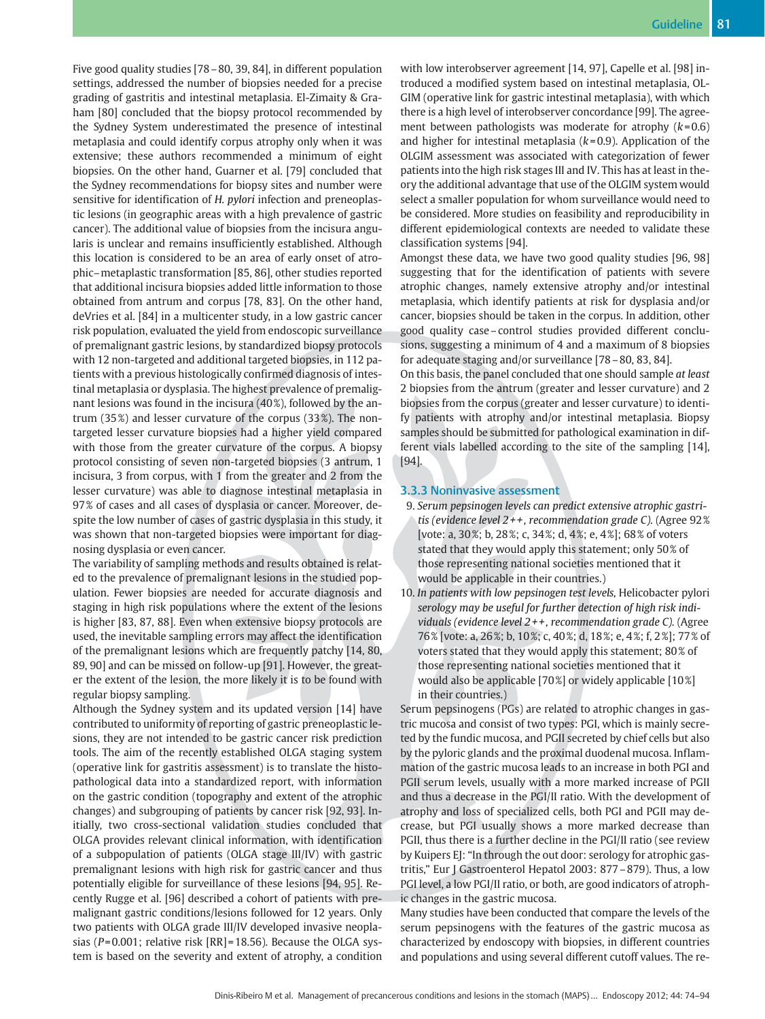Five good quality studies [78–80, 39, 84], in different population settings, addressed the number of biopsies needed for a precise grading of gastritis and intestinal metaplasia. El-Zimaity & Graham [80] concluded that the biopsy protocol recommended by the Sydney System underestimated the presence of intestinal metaplasia and could identify corpus atrophy only when it was extensive; these authors recommended a minimum of eight biopsies. On the other hand, Guarner et al. [79] concluded that the Sydney recommendations for biopsy sites and number were sensitive for identification of H. pylori infection and preneoplastic lesions (in geographic areas with a high prevalence of gastric cancer). The additional value of biopsies from the incisura angularis is unclear and remains insufficiently established. Although this location is considered to be an area of early onset of atrophic–metaplastic transformation [85, 86], other studies reported that additional incisura biopsies added little information to those obtained from antrum and corpus [78, 83]. On the other hand, deVries et al. [84] in a multicenter study, in a low gastric cancer risk population, evaluated the yield from endoscopic surveillance of premalignant gastric lesions, by standardized biopsy protocols with 12 non-targeted and additional targeted biopsies, in 112 patients with a previous histologically confirmed diagnosis of intestinal metaplasia or dysplasia. The highest prevalence of premalignant lesions was found in the incisura (40%), followed by the antrum (35 %) and lesser curvature of the corpus (33 %). The nontargeted lesser curvature biopsies had a higher yield compared with those from the greater curvature of the corpus. A biopsy protocol consisting of seven non-targeted biopsies (3 antrum, 1 incisura, 3 from corpus, with 1 from the greater and 2 from the lesser curvature) was able to diagnose intestinal metaplasia in 97 % of cases and all cases of dysplasia or cancer. Moreover, despite the low number of cases of gastric dysplasia in this study, it was shown that non-targeted biopsies were important for diagnosing dysplasia or even cancer.

The variability of sampling methods and results obtained is related to the prevalence of premalignant lesions in the studied population. Fewer biopsies are needed for accurate diagnosis and staging in high risk populations where the extent of the lesions is higher [83, 87, 88]. Even when extensive biopsy protocols are used, the inevitable sampling errors may affect the identification of the premalignant lesions which are frequently patchy [14, 80, 89, 90] and can be missed on follow-up [91]. However, the greater the extent of the lesion, the more likely it is to be found with regular biopsy sampling.

Although the Sydney system and its updated version [14] have contributed to uniformity of reporting of gastric preneoplastic lesions, they are not intended to be gastric cancer risk prediction tools. The aim of the recently established OLGA staging system (operative link for gastritis assessment) is to translate the histopathological data into a standardized report, with information on the gastric condition (topography and extent of the atrophic changes) and subgrouping of patients by cancer risk [92, 93]. Initially, two cross-sectional validation studies concluded that OLGA provides relevant clinical information, with identification of a subpopulation of patients (OLGA stage III/IV) with gastric premalignant lesions with high risk for gastric cancer and thus potentially eligible for surveillance of these lesions [94, 95]. Recently Rugge et al. [96] described a cohort of patients with premalignant gastric conditions/lesions followed for 12 years. Only two patients with OLGA grade III/IV developed invasive neoplasias ( $P = 0.001$ ; relative risk [RR] = 18.56). Because the OLGA system is based on the severity and extent of atrophy, a condition

with low interobserver agreement [14, 97], Capelle et al. [98] introduced a modified system based on intestinal metaplasia, OL-GIM (operative link for gastric intestinal metaplasia), with which there is a high level of interobserver concordance [99]. The agreement between pathologists was moderate for atrophy  $(k= 0.6)$ and higher for intestinal metaplasia  $(k= 0.9)$ . Application of the OLGIM assessment was associated with categorization of fewer patients into the high risk stages III and IV. This has at least in theory the additional advantage that use of the OLGIM system would select a smaller population for whom surveillance would need to be considered. More studies on feasibility and reproducibility in different epidemiological contexts are needed to validate these classification systems [94].

Amongst these data, we have two good quality studies [96, 98] suggesting that for the identification of patients with severe atrophic changes, namely extensive atrophy and/or intestinal metaplasia, which identify patients at risk for dysplasia and/or cancer, biopsies should be taken in the corpus. In addition, other good quality case–control studies provided different conclusions, suggesting a minimum of 4 and a maximum of 8 biopsies for adequate staging and/or surveillance [78–80, 83, 84].

On this basis, the panel concluded that one should sample at least 2 biopsies from the antrum (greater and lesser curvature) and 2 biopsies from the corpus (greater and lesser curvature) to identify patients with atrophy and/or intestinal metaplasia. Biopsy samples should be submitted for pathological examination in different vials labelled according to the site of the sampling [14], [94].

## 3.3.3 Noninvasive assessment

- 9. Serum pepsinogen levels can predict extensive atrophic gastritis (evidence level  $2 + +$ , recommendation grade C). (Agree 92% [vote: a, 30 %; b, 28 %; c, 34 %; d, 4 %; e, 4 %]; 68 % of voters stated that they would apply this statement; only 50% of those representing national societies mentioned that it would be applicable in their countries.)
- 10. In patients with low pepsinogen test levels, Helicobacter pylori serology may be useful for further detection of high risk individuals (evidence level  $2++$ , recommendation grade C). (Agree 76 % [vote: a, 26 %; b, 10 %; c, 40 %; d, 18 %; e, 4 %; f, 2 %]; 77 % of voters stated that they would apply this statement; 80 % of those representing national societies mentioned that it would also be applicable [70 %] or widely applicable [10 %] in their countries.)

Serum pepsinogens (PGs) are related to atrophic changes in gastric mucosa and consist of two types: PGI, which is mainly secreted by the fundic mucosa, and PGII secreted by chief cells but also by the pyloric glands and the proximal duodenal mucosa. Inflammation of the gastric mucosa leads to an increase in both PGI and PGII serum levels, usually with a more marked increase of PGII and thus a decrease in the PGI/II ratio. With the development of atrophy and loss of specialized cells, both PGI and PGII may decrease, but PGI usually shows a more marked decrease than PGII, thus there is a further decline in the PGI/II ratio (see review by Kuipers EJ: "In through the out door: serology for atrophic gastritis," Eur J Gastroenterol Hepatol 2003: 877–879). Thus, a low PGI level, a low PGI/II ratio, or both, are good indicators of atrophic changes in the gastric mucosa.

Many studies have been conducted that compare the levels of the serum pepsinogens with the features of the gastric mucosa as characterized by endoscopy with biopsies, in different countries and populations and using several different cutoff values. The re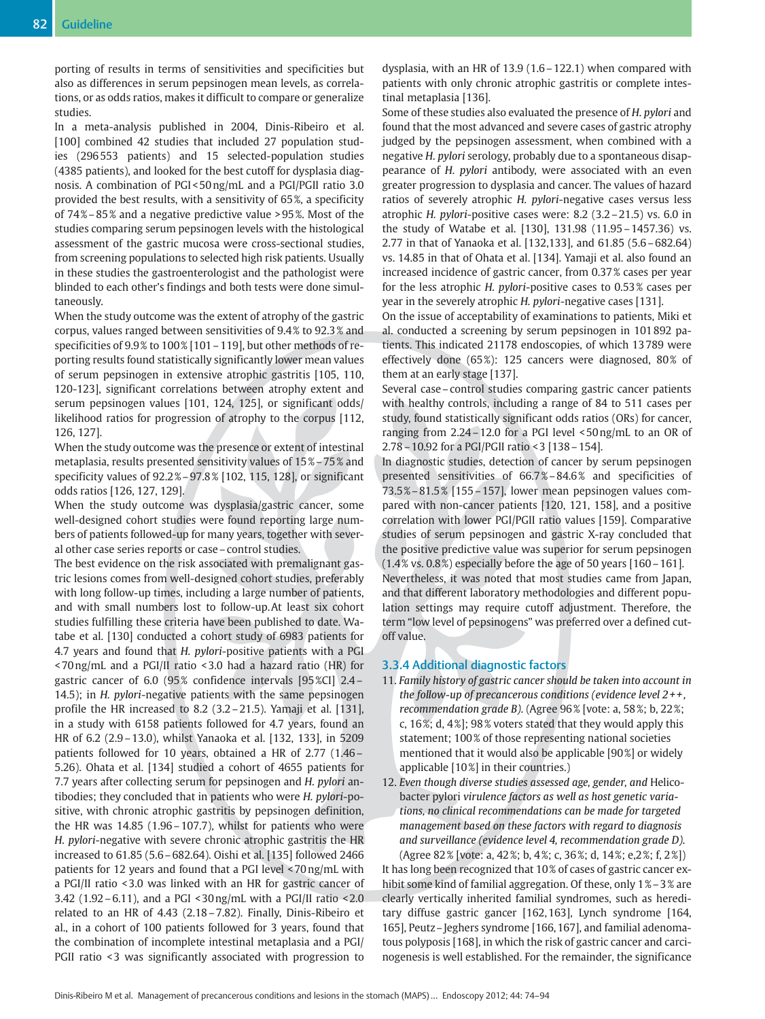porting of results in terms of sensitivities and specificities but also as differences in serum pepsinogen mean levels, as correlations, or as odds ratios, makes it difficult to compare or generalize studies.

In a meta-analysis published in 2004, Dinis-Ribeiro et al. [100] combined 42 studies that included 27 population studies (296 553 patients) and 15 selected-population studies (4385 patients), and looked for the best cutoff for dysplasia diagnosis. A combination of PGI < 50 ng/mL and a PGI/PGII ratio 3.0 provided the best results, with a sensitivity of 65 %, a specificity of 74 %–85 % and a negative predictive value > 95 %. Most of the studies comparing serum pepsinogen levels with the histological assessment of the gastric mucosa were cross-sectional studies, from screening populations to selected high risk patients. Usually in these studies the gastroenterologist and the pathologist were blinded to each other's findings and both tests were done simultaneously.

When the study outcome was the extent of atrophy of the gastric corpus, values ranged between sensitivities of 9.4 % to 92.3 % and specificities of 9.9% to 100% [101 – 119], but other methods of reporting results found statistically significantly lower mean values of serum pepsinogen in extensive atrophic gastritis [105, 110, 120-123], significant correlations between atrophy extent and serum pepsinogen values [101, 124, 125], or significant odds/ likelihood ratios for progression of atrophy to the corpus [112, 126, 127].

When the study outcome was the presence or extent of intestinal metaplasia, results presented sensitivity values of 15 %–75 % and specificity values of 92.2 %–97.8 % [102, 115, 128], or significant odds ratios [126, 127, 129].

When the study outcome was dysplasia/gastric cancer, some well-designed cohort studies were found reporting large numbers of patients followed-up for many years, together with several other case series reports or case–control studies.

The best evidence on the risk associated with premalignant gastric lesions comes from well-designed cohort studies, preferably with long follow-up times, including a large number of patients, and with small numbers lost to follow-up.At least six cohort studies fulfilling these criteria have been published to date. Watabe et al. [130] conducted a cohort study of 6983 patients for 4.7 years and found that H. pylori-positive patients with a PGI < 70 ng/mL and a PGI/II ratio < 3.0 had a hazard ratio (HR) for gastric cancer of 6.0 (95% confidence intervals [95%CI] 2.4-14.5); in H. pylori-negative patients with the same pepsinogen profile the HR increased to 8.2 (3.2–21.5). Yamaji et al. [131], in a study with 6158 patients followed for 4.7 years, found an HR of 6.2 (2.9–13.0), whilst Yanaoka et al. [132, 133], in 5209 patients followed for 10 years, obtained a HR of 2.77 (1.46– 5.26). Ohata et al. [134] studied a cohort of 4655 patients for 7.7 years after collecting serum for pepsinogen and H. pylori antibodies; they concluded that in patients who were H. pylori-positive, with chronic atrophic gastritis by pepsinogen definition, the HR was 14.85 (1.96–107.7), whilst for patients who were H. pylori-negative with severe chronic atrophic gastritis the HR increased to 61.85 (5.6–682.64). Oishi et al. [135] followed 2466 patients for 12 years and found that a PGI level < 70 ng/mL with a PGI/II ratio < 3.0 was linked with an HR for gastric cancer of 3.42 (1.92–6.11), and a PGI < 30 ng/mL with a PGI/II ratio < 2.0 related to an HR of 4.43 (2.18–7.82). Finally, Dinis-Ribeiro et al., in a cohort of 100 patients followed for 3 years, found that the combination of incomplete intestinal metaplasia and a PGI/ PGII ratio <3 was significantly associated with progression to

dysplasia, with an HR of 13.9 (1.6–122.1) when compared with patients with only chronic atrophic gastritis or complete intestinal metaplasia [136].

Some of these studies also evaluated the presence of H. pylori and found that the most advanced and severe cases of gastric atrophy judged by the pepsinogen assessment, when combined with a negative H. pylori serology, probably due to a spontaneous disappearance of H. pylori antibody, were associated with an even greater progression to dysplasia and cancer. The values of hazard ratios of severely atrophic H. pylori-negative cases versus less atrophic H. pylori-positive cases were: 8.2 (3.2–21.5) vs. 6.0 in the study of Watabe et al. [130], 131.98 (11.95–1457.36) vs. 2.77 in that of Yanaoka et al. [132,133], and 61.85 (5.6–682.64) vs. 14.85 in that of Ohata et al. [134]. Yamaji et al. also found an increased incidence of gastric cancer, from 0.37 % cases per year for the less atrophic H. pylori-positive cases to 0.53 % cases per year in the severely atrophic H. pylori-negative cases [131].

On the issue of acceptability of examinations to patients, Miki et al. conducted a screening by serum pepsinogen in 101 892 patients. This indicated 21178 endoscopies, of which 13 789 were effectively done (65%): 125 cancers were diagnosed, 80% of them at an early stage [137].

Several case–control studies comparing gastric cancer patients with healthy controls, including a range of 84 to 511 cases per study, found statistically significant odds ratios (ORs) for cancer, ranging from 2.24–12.0 for a PGI level < 50 ng/mL to an OR of 2.78–10.92 for a PGI/PGII ratio < 3 [138–154].

In diagnostic studies, detection of cancer by serum pepsinogen presented sensitivities of 66.7%-84.6% and specificities of 73.5%–81.5 % [155–157], lower mean pepsinogen values compared with non-cancer patients [120, 121, 158], and a positive correlation with lower PGI/PGII ratio values [159]. Comparative studies of serum pepsinogen and gastric X-ray concluded that the positive predictive value was superior for serum pepsinogen (1.4 % vs. 0.8 %) especially before the age of 50 years [160–161]. Nevertheless, it was noted that most studies came from Japan, and that different laboratory methodologies and different population settings may require cutoff adjustment. Therefore, the term "low level of pepsinogens" was preferred over a defined cutoff value.

## 3.3.4 Additional diagnostic factors

- 11. Family history of gastric cancer should be taken into account in the follow-up of precancerous conditions (evidence level  $2++$ , recommendation grade B). (Agree 96 % [vote: a, 58 %; b, 22 %; c, 16%; d, 4%]; 98% voters stated that they would apply this statement; 100 % of those representing national societies mentioned that it would also be applicable [90 %] or widely applicable [10 %] in their countries.)
- 12. Even though diverse studies assessed age, gender, and Helicobacter pylori virulence factors as well as host genetic variations, no clinical recommendations can be made for targeted management based on these factors with regard to diagnosis and surveillance (evidence level 4, recommendation grade D).

(Agree 82 % [vote: a, 42 %; b, 4 %; c, 36 %; d, 14 %; e,2%; f, 2 %]) It has long been recognized that 10 % of cases of gastric cancer exhibit some kind of familial aggregation. Of these, only 1% - 3% are clearly vertically inherited familial syndromes, such as hereditary diffuse gastric gancer [162, 163], Lynch syndrome [164, 165], Peutz – Jeghers syndrome [166, 167], and familial adenomatous polyposis [168], in which the risk of gastric cancer and carcinogenesis is well established. For the remainder, the significance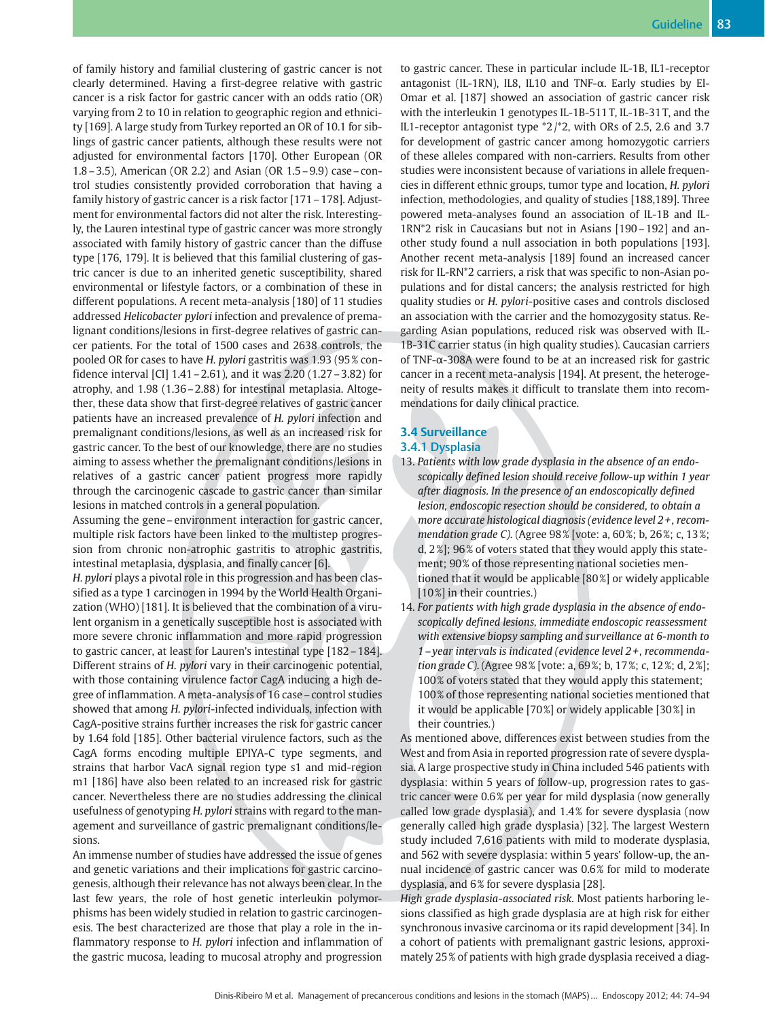of family history and familial clustering of gastric cancer is not clearly determined. Having a first-degree relative with gastric cancer is a risk factor for gastric cancer with an odds ratio (OR) varying from 2 to 10 in relation to geographic region and ethnicity [169]. A large study from Turkey reported an OR of 10.1 for siblings of gastric cancer patients, although these results were not adjusted for environmental factors [170]. Other European (OR 1.8–3.5), American (OR 2.2) and Asian (OR 1.5–9.9) case–control studies consistently provided corroboration that having a family history of gastric cancer is a risk factor [171–178]. Adjustment for environmental factors did not alter the risk. Interestingly, the Lauren intestinal type of gastric cancer was more strongly associated with family history of gastric cancer than the diffuse type [176, 179]. It is believed that this familial clustering of gastric cancer is due to an inherited genetic susceptibility, shared environmental or lifestyle factors, or a combination of these in different populations. A recent meta-analysis [180] of 11 studies addressed Helicobacter pylori infection and prevalence of premalignant conditions/lesions in first-degree relatives of gastric cancer patients. For the total of 1500 cases and 2638 controls, the pooled OR for cases to have H. pylori gastritis was 1.93 (95 % confidence interval [CI] 1.41–2.61), and it was 2.20 (1.27–3.82) for atrophy, and 1.98 (1.36–2.88) for intestinal metaplasia. Altogether, these data show that first-degree relatives of gastric cancer patients have an increased prevalence of H. pylori infection and premalignant conditions/lesions, as well as an increased risk for gastric cancer. To the best of our knowledge, there are no studies aiming to assess whether the premalignant conditions/lesions in relatives of a gastric cancer patient progress more rapidly through the carcinogenic cascade to gastric cancer than similar lesions in matched controls in a general population.

Assuming the gene–environment interaction for gastric cancer, multiple risk factors have been linked to the multistep progression from chronic non-atrophic gastritis to atrophic gastritis, intestinal metaplasia, dysplasia, and finally cancer [6].

H. pylori plays a pivotal role in this progression and has been classified as a type 1 carcinogen in 1994 by the World Health Organization (WHO) [181]. It is believed that the combination of a virulent organism in a genetically susceptible host is associated with more severe chronic inflammation and more rapid progression to gastric cancer, at least for Lauren's intestinal type [182–184]. Different strains of H. pylori vary in their carcinogenic potential, with those containing virulence factor CagA inducing a high degree of inflammation. A meta-analysis of 16 case–control studies showed that among H. pylori-infected individuals, infection with CagA-positive strains further increases the risk for gastric cancer by 1.64 fold [185]. Other bacterial virulence factors, such as the CagA forms encoding multiple EPIYA-C type segments, and strains that harbor VacA signal region type s1 and mid-region m1 [186] have also been related to an increased risk for gastric cancer. Nevertheless there are no studies addressing the clinical usefulness of genotyping H. pylori strains with regard to the management and surveillance of gastric premalignant conditions/lesions.

An immense number of studies have addressed the issue of genes and genetic variations and their implications for gastric carcinogenesis, although their relevance has not always been clear. In the last few years, the role of host genetic interleukin polymorphisms has been widely studied in relation to gastric carcinogenesis. The best characterized are those that play a role in the inflammatory response to H. pylori infection and inflammation of the gastric mucosa, leading to mucosal atrophy and progression

to gastric cancer. These in particular include IL-1B, IL1-receptor antagonist (IL-1RN), IL8, IL10 and TNF-α. Early studies by El-Omar et al. [187] showed an association of gastric cancer risk with the interleukin 1 genotypes IL-1B-511 T, IL-1B-31 T, and the IL1-receptor antagonist type \*2 /\*2, with ORs of 2.5, 2.6 and 3.7 for development of gastric cancer among homozygotic carriers of these alleles compared with non-carriers. Results from other studies were inconsistent because of variations in allele frequencies in different ethnic groups, tumor type and location, H. pylori infection, methodologies, and quality of studies [188,189]. Three powered meta-analyses found an association of IL-1B and IL-1RN\*2 risk in Caucasians but not in Asians [190–192] and another study found a null association in both populations [193]. Another recent meta-analysis [189] found an increased cancer risk for IL-RN\*2 carriers, a risk that was specific to non-Asian populations and for distal cancers; the analysis restricted for high quality studies or H. pylori-positive cases and controls disclosed an association with the carrier and the homozygosity status. Regarding Asian populations, reduced risk was observed with IL-1B-31C carrier status (in high quality studies). Caucasian carriers of TNF-α-308A were found to be at an increased risk for gastric cancer in a recent meta-analysis [194]. At present, the heterogeneity of results makes it difficult to translate them into recommendations for daily clinical practice.

# 3.4 Surveillance

## 3.4.1 Dysplasia

- 13. Patients with low grade dysplasia in the absence of an endoscopically defined lesion should receive follow-up within 1 year after diagnosis. In the presence of an endoscopically defined lesion, endoscopic resection should be considered, to obtain a more accurate histological diagnosis (evidence level 2 + , recommendation grade C). (Agree 98 % [vote: a, 60 %; b, 26 %; c, 13 %; d, 2 %]; 96 % of voters stated that they would apply this statement; 90% of those representing national societies mentioned that it would be applicable [80 %] or widely applicable [10%] in their countries.)
- 14. For patients with high grade dysplasia in the absence of endoscopically defined lesions, immediate endoscopic reassessment with extensive biopsy sampling and surveillance at 6-month to 1–year intervals is indicated (evidence level 2 + , recommendation grade C). (Agree 98 % [vote: a, 69 %; b, 17 %; c, 12 %; d, 2 %]; 100 % of voters stated that they would apply this statement; 100 % of those representing national societies mentioned that it would be applicable [70 %] or widely applicable [30 %] in their countries.)

As mentioned above, differences exist between studies from the West and from Asia in reported progression rate of severe dysplasia. A large prospective study in China included 546 patients with dysplasia: within 5 years of follow-up, progression rates to gastric cancer were 0.6 % per year for mild dysplasia (now generally called low grade dysplasia), and 1.4 % for severe dysplasia (now generally called high grade dysplasia) [32]. The largest Western study included 7,616 patients with mild to moderate dysplasia, and 562 with severe dysplasia: within 5 years' follow-up, the annual incidence of gastric cancer was 0.6 % for mild to moderate dysplasia, and 6 % for severe dysplasia [28].

High grade dysplasia-associated risk. Most patients harboring lesions classified as high grade dysplasia are at high risk for either synchronous invasive carcinoma or its rapid development [34]. In a cohort of patients with premalignant gastric lesions, approximately 25 % of patients with high grade dysplasia received a diag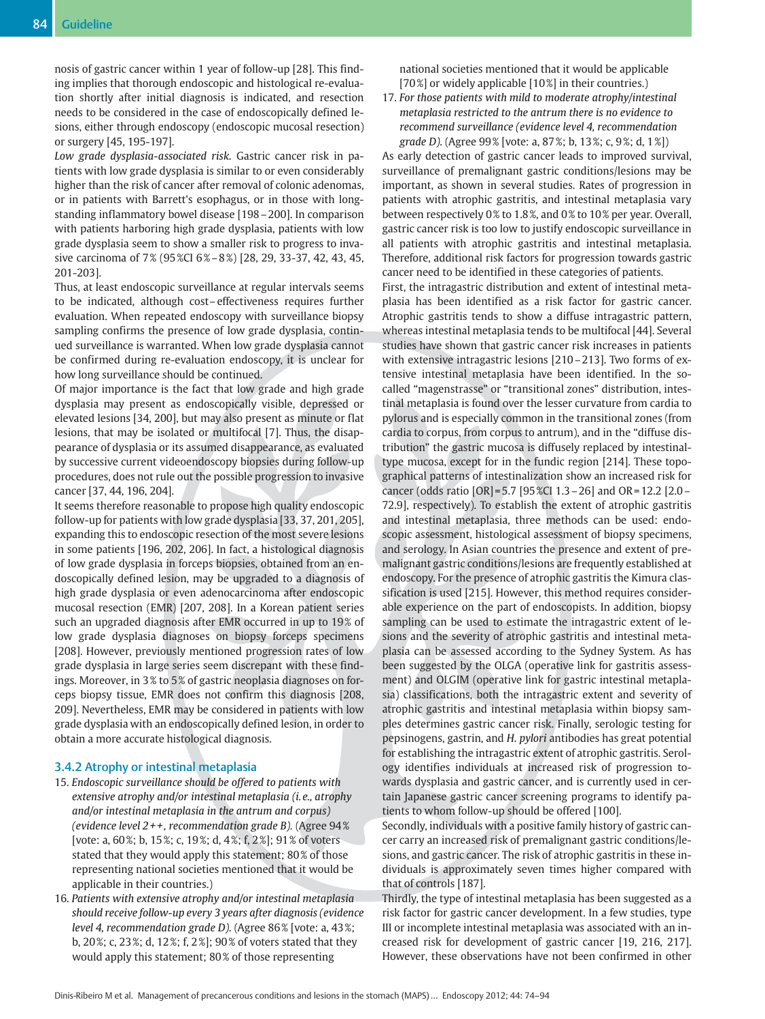nosis of gastric cancer within 1 year of follow-up [28]. This finding implies that thorough endoscopic and histological re-evaluation shortly after initial diagnosis is indicated, and resection needs to be considered in the case of endoscopically defined lesions, either through endoscopy (endoscopic mucosal resection) or surgery [45, 195-197].

Low grade dysplasia-associated risk. Gastric cancer risk in patients with low grade dysplasia is similar to or even considerably higher than the risk of cancer after removal of colonic adenomas, or in patients with Barrett's esophagus, or in those with longstanding inflammatory bowel disease [198–200]. In comparison with patients harboring high grade dysplasia, patients with low grade dysplasia seem to show a smaller risk to progress to invasive carcinoma of 7% (95%CI 6%-8%) [28, 29, 33-37, 42, 43, 45, 201-203].

Thus, at least endoscopic surveillance at regular intervals seems to be indicated, although cost–effectiveness requires further evaluation. When repeated endoscopy with surveillance biopsy sampling confirms the presence of low grade dysplasia, continued surveillance is warranted. When low grade dysplasia cannot be confirmed during re-evaluation endoscopy, it is unclear for how long surveillance should be continued.

Of major importance is the fact that low grade and high grade dysplasia may present as endoscopically visible, depressed or elevated lesions [34, 200], but may also present as minute or flat lesions, that may be isolated or multifocal [7]. Thus, the disappearance of dysplasia or its assumed disappearance, as evaluated by successive current videoendoscopy biopsies during follow-up procedures, does not rule out the possible progression to invasive cancer [37, 44, 196, 204].

It seems therefore reasonable to propose high quality endoscopic follow-up for patients with low grade dysplasia [33, 37, 201, 205], expanding this to endoscopic resection of the most severe lesions in some patients [196, 202, 206]. In fact, a histological diagnosis of low grade dysplasia in forceps biopsies, obtained from an endoscopically defined lesion, may be upgraded to a diagnosis of high grade dysplasia or even adenocarcinoma after endoscopic mucosal resection (EMR) [207, 208]. In a Korean patient series such an upgraded diagnosis after EMR occurred in up to 19% of low grade dysplasia diagnoses on biopsy forceps specimens [208]. However, previously mentioned progression rates of low grade dysplasia in large series seem discrepant with these findings. Moreover, in 3 % to 5 % of gastric neoplasia diagnoses on forceps biopsy tissue, EMR does not confirm this diagnosis [208, 209]. Nevertheless, EMR may be considered in patients with low grade dysplasia with an endoscopically defined lesion, in order to obtain a more accurate histological diagnosis.

## 3.4.2 Atrophy or intestinal metaplasia

- 15. Endoscopic surveillance should be offered to patients with extensive atrophy and/or intestinal metaplasia (i. e., atrophy and/or intestinal metaplasia in the antrum and corpus) (evidence level  $2++$ , recommendation grade B). (Agree  $94\%$ [vote: a, 60 %; b, 15 %; c, 19 %; d, 4 %; f, 2 %]; 91 % of voters stated that they would apply this statement; 80 % of those representing national societies mentioned that it would be applicable in their countries.)
- 16. Patients with extensive atrophy and/or intestinal metaplasia should receive follow-up every 3 years after diagnosis (evidence level 4, recommendation grade D). (Agree 86 % [vote: a, 43 %; b, 20 %; c, 23 %; d, 12 %; f, 2 %]; 90 % of voters stated that they would apply this statement; 80 % of those representing

national societies mentioned that it would be applicable [70%] or widely applicable [10%] in their countries.)

17. For those patients with mild to moderate atrophy/intestinal metaplasia restricted to the antrum there is no evidence to recommend surveillance (evidence level 4, recommendation grade D). (Agree 99 % [vote: a, 87 %; b, 13 %; c, 9 %; d, 1 %])

As early detection of gastric cancer leads to improved survival, surveillance of premalignant gastric conditions/lesions may be important, as shown in several studies. Rates of progression in patients with atrophic gastritis, and intestinal metaplasia vary between respectively 0 % to 1.8 %, and 0 % to 10 % per year. Overall, gastric cancer risk is too low to justify endoscopic surveillance in all patients with atrophic gastritis and intestinal metaplasia. Therefore, additional risk factors for progression towards gastric cancer need to be identified in these categories of patients.

First, the intragastric distribution and extent of intestinal metaplasia has been identified as a risk factor for gastric cancer. Atrophic gastritis tends to show a diffuse intragastric pattern, whereas intestinal metaplasia tends to be multifocal [44]. Several studies have shown that gastric cancer risk increases in patients with extensive intragastric lesions [210–213]. Two forms of extensive intestinal metaplasia have been identified. In the socalled "magenstrasse" or "transitional zones" distribution, intestinal metaplasia is found over the lesser curvature from cardia to pylorus and is especially common in the transitional zones (from cardia to corpus, from corpus to antrum), and in the "diffuse distribution" the gastric mucosa is diffusely replaced by intestinaltype mucosa, except for in the fundic region [214]. These topographical patterns of intestinalization show an increased risk for cancer (odds ratio [OR] = 5.7 [95 %CI 1.3–26] and OR = 12.2 [2.0– 72.9], respectively). To establish the extent of atrophic gastritis and intestinal metaplasia, three methods can be used: endoscopic assessment, histological assessment of biopsy specimens, and serology. In Asian countries the presence and extent of premalignant gastric conditions/lesions are frequently established at endoscopy. For the presence of atrophic gastritis the Kimura classification is used [215]. However, this method requires considerable experience on the part of endoscopists. In addition, biopsy sampling can be used to estimate the intragastric extent of lesions and the severity of atrophic gastritis and intestinal metaplasia can be assessed according to the Sydney System. As has been suggested by the OLGA (operative link for gastritis assessment) and OLGIM (operative link for gastric intestinal metaplasia) classifications, both the intragastric extent and severity of atrophic gastritis and intestinal metaplasia within biopsy samples determines gastric cancer risk. Finally, serologic testing for pepsinogens, gastrin, and H. pylori antibodies has great potential for establishing the intragastric extent of atrophic gastritis. Serology identifies individuals at increased risk of progression towards dysplasia and gastric cancer, and is currently used in certain Japanese gastric cancer screening programs to identify patients to whom follow-up should be offered [100].

Secondly, individuals with a positive family history of gastric cancer carry an increased risk of premalignant gastric conditions/lesions, and gastric cancer. The risk of atrophic gastritis in these individuals is approximately seven times higher compared with that of controls [187].

Thirdly, the type of intestinal metaplasia has been suggested as a risk factor for gastric cancer development. In a few studies, type III or incomplete intestinal metaplasia was associated with an increased risk for development of gastric cancer [19, 216, 217]. However, these observations have not been confirmed in other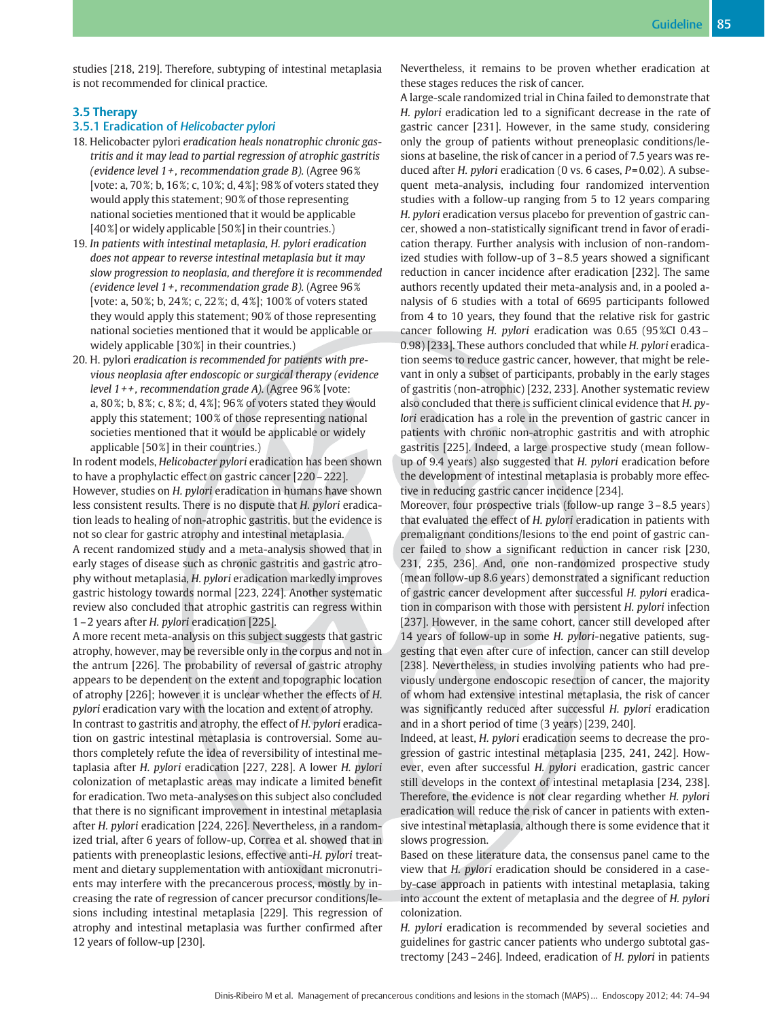studies [218, 219]. Therefore, subtyping of intestinal metaplasia is not recommended for clinical practice.

## 3.5 Therapy

# 3.5.1 Eradication of Helicobacter pylori

- 18. Helicobacter pylori eradication heals nonatrophic chronic gastritis and it may lead to partial regression of atrophic gastritis (evidence level 1 +, recommendation grade B). (Agree 96% [vote: a, 70 %; b, 16 %; c, 10 %; d, 4 %]; 98 % of voters stated they would apply this statement; 90 % of those representing national societies mentioned that it would be applicable [40%] or widely applicable [50%] in their countries.)
- 19. In patients with intestinal metaplasia, H. pylori eradication does not appear to reverse intestinal metaplasia but it may slow progression to neoplasia, and therefore it is recommended (evidence level 1+, recommendation grade B). (Agree 96% [vote: a, 50 %; b, 24 %; c, 22 %; d, 4 %]; 100 % of voters stated they would apply this statement; 90 % of those representing national societies mentioned that it would be applicable or widely applicable [30%] in their countries.)
- 20. H. pylori eradication is recommended for patients with previous neoplasia after endoscopic or surgical therapy (evidence level 1++, recommendation grade A). (Agree 96% [vote: a, 80 %; b, 8 %; c, 8 %; d, 4 %]; 96 % of voters stated they would apply this statement; 100 % of those representing national societies mentioned that it would be applicable or widely applicable [50 %] in their countries.)

In rodent models, Helicobacter pylori eradication has been shown to have a prophylactic effect on gastric cancer [220–222]. However, studies on H. pylori eradication in humans have shown less consistent results. There is no dispute that H. pylori eradication leads to healing of non-atrophic gastritis, but the evidence is not so clear for gastric atrophy and intestinal metaplasia. A recent randomized study and a meta-analysis showed that in early stages of disease such as chronic gastritis and gastric atrophy without metaplasia, H. pylori eradication markedly improves gastric histology towards normal [223, 224]. Another systematic review also concluded that atrophic gastritis can regress within 1–2 years after H. pylori eradication [225].

A more recent meta-analysis on this subject suggests that gastric atrophy, however, may be reversible only in the corpus and not in the antrum [226]. The probability of reversal of gastric atrophy appears to be dependent on the extent and topographic location of atrophy [226]; however it is unclear whether the effects of H. pylori eradication vary with the location and extent of atrophy.

In contrast to gastritis and atrophy, the effect of H. pylori eradication on gastric intestinal metaplasia is controversial. Some authors completely refute the idea of reversibility of intestinal metaplasia after H. pylori eradication [227, 228]. A lower H. pylori colonization of metaplastic areas may indicate a limited benefit for eradication. Two meta-analyses on this subject also concluded that there is no significant improvement in intestinal metaplasia after H. pylori eradication [224, 226]. Nevertheless, in a randomized trial, after 6 years of follow-up, Correa et al. showed that in patients with preneoplastic lesions, effective anti-H. pylori treatment and dietary supplementation with antioxidant micronutrients may interfere with the precancerous process, mostly by increasing the rate of regression of cancer precursor conditions/lesions including intestinal metaplasia [229]. This regression of atrophy and intestinal metaplasia was further confirmed after 12 years of follow-up [230].

Nevertheless, it remains to be proven whether eradication at these stages reduces the risk of cancer.

A large-scale randomized trial in China failed to demonstrate that H. pylori eradication led to a significant decrease in the rate of gastric cancer [231]. However, in the same study, considering only the group of patients without preneoplasic conditions/lesions at baseline, the risk of cancer in a period of 7.5 years was reduced after H. pylori eradication (0 vs. 6 cases,  $P=0.02$ ). A subsequent meta-analysis, including four randomized intervention studies with a follow-up ranging from 5 to 12 years comparing H. pylori eradication versus placebo for prevention of gastric cancer, showed a non-statistically significant trend in favor of eradication therapy. Further analysis with inclusion of non-randomized studies with follow-up of 3–8.5 years showed a significant reduction in cancer incidence after eradication [232]. The same authors recently updated their meta-analysis and, in a pooled analysis of 6 studies with a total of 6695 participants followed from 4 to 10 years, they found that the relative risk for gastric cancer following H. pylori eradication was 0.65 (95 %CI 0.43– 0.98) [233]. These authors concluded that while H. pylori eradication seems to reduce gastric cancer, however, that might be relevant in only a subset of participants, probably in the early stages of gastritis (non-atrophic) [232, 233]. Another systematic review also concluded that there is sufficient clinical evidence that H. pylori eradication has a role in the prevention of gastric cancer in patients with chronic non-atrophic gastritis and with atrophic gastritis [225]. Indeed, a large prospective study (mean followup of 9.4 years) also suggested that H. pylori eradication before the development of intestinal metaplasia is probably more effective in reducing gastric cancer incidence [234].

Moreover, four prospective trials (follow-up range 3–8.5 years) that evaluated the effect of H. pylori eradication in patients with premalignant conditions/lesions to the end point of gastric cancer failed to show a significant reduction in cancer risk [230, 231, 235, 236]. And, one non-randomized prospective study (mean follow-up 8.6 years) demonstrated a significant reduction of gastric cancer development after successful H. pylori eradication in comparison with those with persistent H. pylori infection [237]. However, in the same cohort, cancer still developed after 14 years of follow-up in some H. pylori-negative patients, suggesting that even after cure of infection, cancer can still develop [238]. Nevertheless, in studies involving patients who had previously undergone endoscopic resection of cancer, the majority of whom had extensive intestinal metaplasia, the risk of cancer was significantly reduced after successful H. pylori eradication and in a short period of time (3 years) [239, 240].

Indeed, at least, H. pylori eradication seems to decrease the progression of gastric intestinal metaplasia [235, 241, 242]. However, even after successful H. pylori eradication, gastric cancer still develops in the context of intestinal metaplasia [234, 238]. Therefore, the evidence is not clear regarding whether H. pylori eradication will reduce the risk of cancer in patients with extensive intestinal metaplasia, although there is some evidence that it slows progression.

Based on these literature data, the consensus panel came to the view that H. pylori eradication should be considered in a caseby-case approach in patients with intestinal metaplasia, taking into account the extent of metaplasia and the degree of H. pylori colonization.

H. pylori eradication is recommended by several societies and guidelines for gastric cancer patients who undergo subtotal gastrectomy [243–246]. Indeed, eradication of H. pylori in patients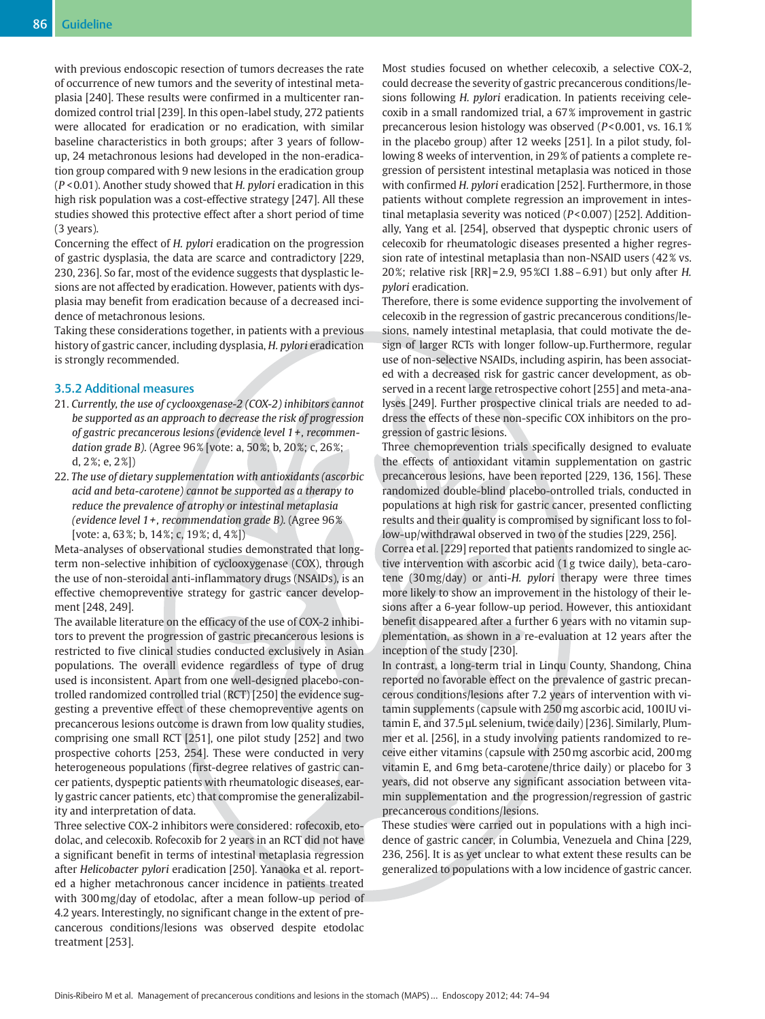with previous endoscopic resection of tumors decreases the rate of occurrence of new tumors and the severity of intestinal metaplasia [240]. These results were confirmed in a multicenter randomized control trial [239]. In this open-label study, 272 patients were allocated for eradication or no eradication, with similar baseline characteristics in both groups; after 3 years of followup, 24 metachronous lesions had developed in the non-eradication group compared with 9 new lesions in the eradication group  $(P < 0.01)$ . Another study showed that *H. pylori* eradication in this high risk population was a cost-effective strategy [247]. All these studies showed this protective effect after a short period of time (3 years).

Concerning the effect of H. pylori eradication on the progression of gastric dysplasia, the data are scarce and contradictory [229, 230, 236]. So far, most of the evidence suggests that dysplastic lesions are not affected by eradication. However, patients with dysplasia may benefit from eradication because of a decreased incidence of metachronous lesions.

Taking these considerations together, in patients with a previous history of gastric cancer, including dysplasia, H. pylori eradication is strongly recommended.

## 3.5.2 Additional measures

- 21. Currently, the use of cyclooxgenase-2 (COX-2) inhibitors cannot be supported as an approach to decrease the risk of progression of gastric precancerous lesions (evidence level 1 + , recommendation grade B). (Agree 96% [vote: a, 50%; b, 20%; c, 26%; d, 2 %; e, 2 %])
- 22. The use of dietary supplementation with antioxidants (ascorbic acid and beta-carotene) cannot be supported as a therapy to reduce the prevalence of atrophy or intestinal metaplasia (evidence level 1 +, recommendation grade B). (Agree 96% [vote: a, 63%; b, 14%; c, 19%; d, 4%])

Meta-analyses of observational studies demonstrated that longterm non-selective inhibition of cyclooxygenase (COX), through the use of non-steroidal anti-inflammatory drugs (NSAIDs), is an effective chemopreventive strategy for gastric cancer development [248, 249].

The available literature on the efficacy of the use of COX-2 inhibitors to prevent the progression of gastric precancerous lesions is restricted to five clinical studies conducted exclusively in Asian populations. The overall evidence regardless of type of drug used is inconsistent. Apart from one well-designed placebo-controlled randomized controlled trial (RCT) [250] the evidence suggesting a preventive effect of these chemopreventive agents on precancerous lesions outcome is drawn from low quality studies, comprising one small RCT [251], one pilot study [252] and two prospective cohorts [253, 254]. These were conducted in very heterogeneous populations (first-degree relatives of gastric cancer patients, dyspeptic patients with rheumatologic diseases, early gastric cancer patients, etc) that compromise the generalizability and interpretation of data.

Three selective COX-2 inhibitors were considered: rofecoxib, etodolac, and celecoxib. Rofecoxib for 2 years in an RCT did not have a significant benefit in terms of intestinal metaplasia regression after Helicobacter pylori eradication [250]. Yanaoka et al. reported a higher metachronous cancer incidence in patients treated with 300mg/day of etodolac, after a mean follow-up period of 4.2 years. Interestingly, no significant change in the extent of precancerous conditions/lesions was observed despite etodolac treatment [253].

Most studies focused on whether celecoxib, a selective COX-2, could decrease the severity of gastric precancerous conditions/lesions following H. pylori eradication. In patients receiving celecoxib in a small randomized trial, a 67 % improvement in gastric precancerous lesion histology was observed (P< 0.001, vs. 16.1 % in the placebo group) after 12 weeks [251]. In a pilot study, following 8 weeks of intervention, in 29 % of patients a complete regression of persistent intestinal metaplasia was noticed in those with confirmed H. pylori eradication [252]. Furthermore, in those patients without complete regression an improvement in intestinal metaplasia severity was noticed (P< 0.007) [252]. Additionally, Yang et al. [254], observed that dyspeptic chronic users of celecoxib for rheumatologic diseases presented a higher regression rate of intestinal metaplasia than non-NSAID users (42% vs. 20 %; relative risk [RR] = 2.9, 95 %CI 1.88–6.91) but only after H. pylori eradication.

Therefore, there is some evidence supporting the involvement of celecoxib in the regression of gastric precancerous conditions/lesions, namely intestinal metaplasia, that could motivate the design of larger RCTs with longer follow-up. Furthermore, regular use of non-selective NSAIDs, including aspirin, has been associated with a decreased risk for gastric cancer development, as observed in a recent large retrospective cohort [255] and meta-analyses [249]. Further prospective clinical trials are needed to address the effects of these non-specific COX inhibitors on the progression of gastric lesions.

Three chemoprevention trials specifically designed to evaluate the effects of antioxidant vitamin supplementation on gastric precancerous lesions, have been reported [229, 136, 156]. These randomized double-blind placebo-ontrolled trials, conducted in populations at high risk for gastric cancer, presented conflicting results and their quality is compromised by significant loss to follow-up/withdrawal observed in two of the studies [229, 256].

Correa et al. [229] reported that patients randomized to single active intervention with ascorbic acid (1 g twice daily), beta-carotene (30mg/day) or anti-H. pylori therapy were three times more likely to show an improvement in the histology of their lesions after a 6-year follow-up period. However, this antioxidant benefit disappeared after a further 6 years with no vitamin supplementation, as shown in a re-evaluation at 12 years after the inception of the study [230].

In contrast, a long-term trial in Linqu County, Shandong, China reported no favorable effect on the prevalence of gastric precancerous conditions/lesions after 7.2 years of intervention with vitamin supplements (capsule with 250mg ascorbic acid, 100 IU vitamin E, and 37.5 µL selenium, twice daily) [236]. Similarly, Plummer et al. [256], in a study involving patients randomized to receive either vitamins (capsule with 250mg ascorbic acid, 200mg vitamin E, and 6mg beta-carotene/thrice daily) or placebo for 3 years, did not observe any significant association between vitamin supplementation and the progression/regression of gastric precancerous conditions/lesions.

These studies were carried out in populations with a high incidence of gastric cancer, in Columbia, Venezuela and China [229, 236, 256]. It is as yet unclear to what extent these results can be generalized to populations with a low incidence of gastric cancer.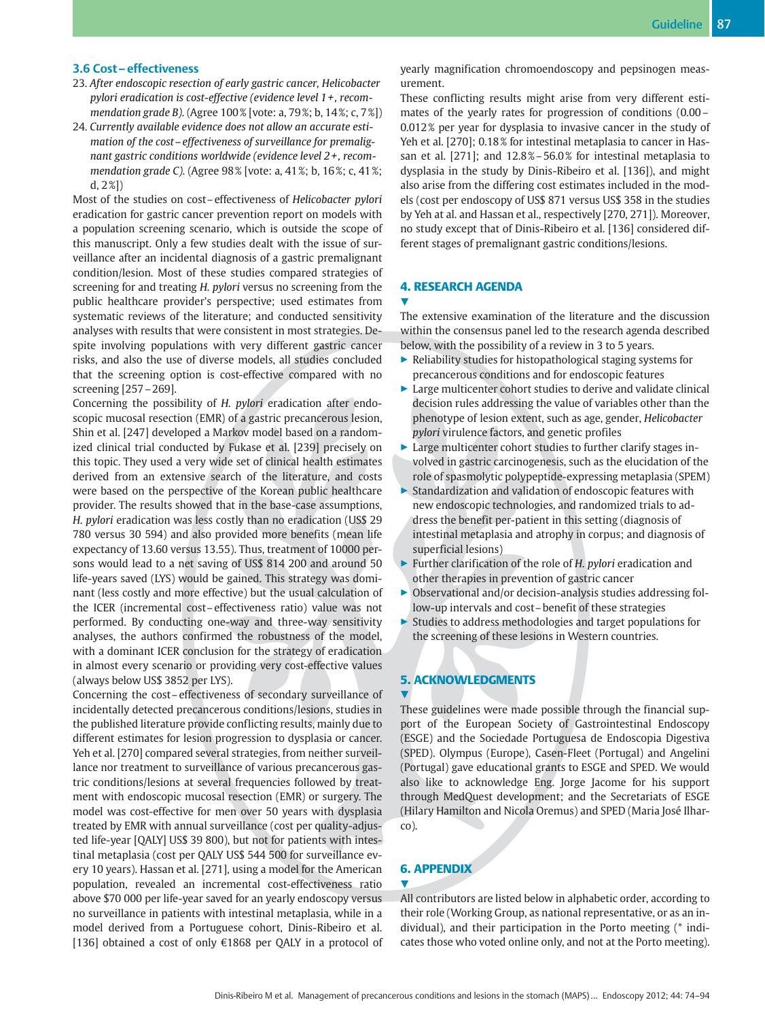## 3.6 Cost– effectiveness

- 23. After endoscopic resection of early gastric cancer, Helicobacter pylori eradication is cost-effective (evidence level 1 + , recommendation grade B). (Agree 100% [vote: a, 79%; b, 14%; c, 7%])
- 24. Currently available evidence does not allow an accurate estimation of the cost–effectiveness of surveillance for premalignant gastric conditions worldwide (evidence level 2 + , recommendation grade C). (Agree 98 % [vote: a, 41 %; b, 16 %; c, 41 %; d, 2 %])

Most of the studies on cost–effectiveness of Helicobacter pylori eradication for gastric cancer prevention report on models with a population screening scenario, which is outside the scope of this manuscript. Only a few studies dealt with the issue of surveillance after an incidental diagnosis of a gastric premalignant condition/lesion. Most of these studies compared strategies of screening for and treating H. pylori versus no screening from the public healthcare provider's perspective; used estimates from systematic reviews of the literature; and conducted sensitivity analyses with results that were consistent in most strategies. Despite involving populations with very different gastric cancer risks, and also the use of diverse models, all studies concluded that the screening option is cost-effective compared with no screening [257–269].

Concerning the possibility of H. pylori eradication after endoscopic mucosal resection (EMR) of a gastric precancerous lesion, Shin et al. [247] developed a Markov model based on a randomized clinical trial conducted by Fukase et al. [239] precisely on this topic. They used a very wide set of clinical health estimates derived from an extensive search of the literature, and costs were based on the perspective of the Korean public healthcare provider. The results showed that in the base-case assumptions, H. pylori eradication was less costly than no eradication (US\$ 29 780 versus 30 594) and also provided more benefits (mean life expectancy of 13.60 versus 13.55). Thus, treatment of 10000 persons would lead to a net saving of US\$ 814 200 and around 50 life-years saved (LYS) would be gained. This strategy was dominant (less costly and more effective) but the usual calculation of the ICER (incremental cost–effectiveness ratio) value was not performed. By conducting one-way and three-way sensitivity analyses, the authors confirmed the robustness of the model, with a dominant ICER conclusion for the strategy of eradication in almost every scenario or providing very cost-effective values (always below US\$ 3852 per LYS).

Concerning the cost–effectiveness of secondary surveillance of incidentally detected precancerous conditions/lesions, studies in the published literature provide conflicting results, mainly due to different estimates for lesion progression to dysplasia or cancer. Yeh et al. [270] compared several strategies, from neither surveillance nor treatment to surveillance of various precancerous gastric conditions/lesions at several frequencies followed by treatment with endoscopic mucosal resection (EMR) or surgery. The model was cost-effective for men over 50 years with dysplasia treated by EMR with annual surveillance (cost per quality-adjusted life-year [QALY] US\$ 39 800), but not for patients with intestinal metaplasia (cost per QALY US\$ 544 500 for surveillance every 10 years). Hassan et al. [271], using a model for the American population, revealed an incremental cost-effectiveness ratio above \$70 000 per life-year saved for an yearly endoscopy versus no surveillance in patients with intestinal metaplasia, while in a model derived from a Portuguese cohort, Dinis-Ribeiro et al. [136] obtained a cost of only €1868 per QALY in a protocol of

yearly magnification chromoendoscopy and pepsinogen measurement.

These conflicting results might arise from very different estimates of the yearly rates for progression of conditions (0.00– 0.012 % per year for dysplasia to invasive cancer in the study of Yeh et al. [270]; 0.18% for intestinal metaplasia to cancer in Hassan et al. [271]; and 12.8%-56.0% for intestinal metaplasia to dysplasia in the study by Dinis-Ribeiro et al. [136]), and might also arise from the differing cost estimates included in the models (cost per endoscopy of US\$ 871 versus US\$ 358 in the studies by Yeh at al. and Hassan et al., respectively [270, 271]). Moreover, no study except that of Dinis-Ribeiro et al. [136] considered different stages of premalignant gastric conditions/lesions.

# 4. RESEARCH AGENDA

<u>V</u>

The extensive examination of the literature and the discussion within the consensus panel led to the research agenda described below, with the possibility of a review in 3 to 5 years.

- $\blacktriangleright$  Reliability studies for histopathological staging systems for precancerous conditions and for endoscopic features
- $\blacktriangleright$  Large multicenter cohort studies to derive and validate clinical decision rules addressing the value of variables other than the phenotype of lesion extent, such as age, gender, Helicobacter pylori virulence factors, and genetic profiles
- ▶ Large multicenter cohort studies to further clarify stages involved in gastric carcinogenesis, such as the elucidation of the role of spasmolytic polypeptide-expressing metaplasia (SPEM)
- Standardization and validation of endoscopic features with new endoscopic technologies, and randomized trials to address the benefit per-patient in this setting (diagnosis of intestinal metaplasia and atrophy in corpus; and diagnosis of superficial lesions)
- Further clarification of the role of H. pylori eradication and other therapies in prevention of gastric cancer
- ▶ Observational and/or decision-analysis studies addressing follow-up intervals and cost–benefit of these strategies
- ▶ Studies to address methodologies and target populations for the screening of these lesions in Western countries.

# 5. ACKNOWLEDGMENTS  $\blacktriangledown$

These guidelines were made possible through the financial support of the European Society of Gastrointestinal Endoscopy (ESGE) and the Sociedade Portuguesa de Endoscopia Digestiva (SPED). Olympus (Europe), Casen-Fleet (Portugal) and Angelini (Portugal) gave educational grants to ESGE and SPED. We would also like to acknowledge Eng. Jorge Jacome for his support through MedQuest development; and the Secretariats of ESGE (Hilary Hamilton and Nicola Oremus) and SPED (Maria José Ilharco).

# 6. APPENDIX

<u>V</u> All contributors are listed below in alphabetic order, according to their role (Working Group, as national representative, or as an individual), and their participation in the Porto meeting (\* indi-

cates those who voted online only, and not at the Porto meeting).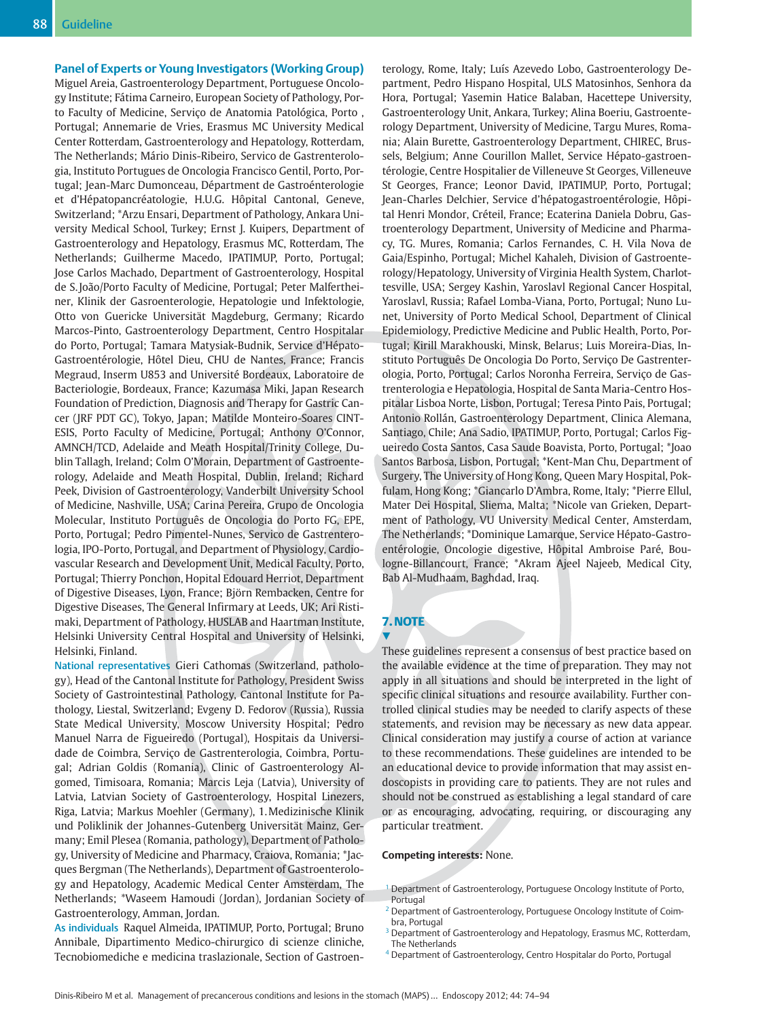Panel of Experts or Young Investigators (Working Group)

Miguel Areia, Gastroenterology Department, Portuguese Oncology Institute; Fátima Carneiro, European Society of Pathology, Porto Faculty of Medicine, Serviço de Anatomia Patológica, Porto , Portugal; Annemarie de Vries, Erasmus MC University Medical Center Rotterdam, Gastroenterology and Hepatology, Rotterdam, The Netherlands; Mário Dinis-Ribeiro, Servico de Gastrenterologia, Instituto Portugues de Oncologia Francisco Gentil, Porto, Portugal; Jean-Marc Dumonceau, Départment de Gastroénterologie et d'Hépatopancréatologie, H.U.G. Hôpital Cantonal, Geneve, Switzerland; \*Arzu Ensari, Department of Pathology, Ankara University Medical School, Turkey; Ernst J. Kuipers, Department of Gastroenterology and Hepatology, Erasmus MC, Rotterdam, The Netherlands; Guilherme Macedo, IPATIMUP, Porto, Portugal; Jose Carlos Machado, Department of Gastroenterology, Hospital de S. João/Porto Faculty of Medicine, Portugal; Peter Malfertheiner, Klinik der Gasroenterologie, Hepatologie und Infektologie, Otto von Guericke Universität Magdeburg, Germany; Ricardo Marcos-Pinto, Gastroenterology Department, Centro Hospitalar do Porto, Portugal; Tamara Matysiak-Budnik, Service d'Hépato-Gastroentérologie, Hôtel Dieu, CHU de Nantes, France; Francis Megraud, Inserm U853 and Université Bordeaux, Laboratoire de Bacteriologie, Bordeaux, France; Kazumasa Miki, Japan Research Foundation of Prediction, Diagnosis and Therapy for Gastric Cancer (JRF PDT GC), Tokyo, Japan; Matilde Monteiro-Soares CINT-ESIS, Porto Faculty of Medicine, Portugal; Anthony O'Connor, AMNCH/TCD, Adelaide and Meath Hospital/Trinity College, Dublin Tallagh, Ireland; Colm O'Morain, Department of Gastroenterology, Adelaide and Meath Hospital, Dublin, Ireland; Richard Peek, Division of Gastroenterology, Vanderbilt University School of Medicine, Nashville, USA; Carina Pereira, Grupo de Oncologia Molecular, Instituto Português de Oncologia do Porto FG, EPE, Porto, Portugal; Pedro Pimentel-Nunes, Servico de Gastrenterologia, IPO-Porto, Portugal, and Department of Physiology, Cardiovascular Research and Development Unit, Medical Faculty, Porto, Portugal; Thierry Ponchon, Hopital Edouard Herriot, Department of Digestive Diseases, Lyon, France; Björn Rembacken, Centre for Digestive Diseases, The General Infirmary at Leeds, UK; Ari Ristimaki, Department of Pathology, HUSLAB and Haartman Institute, Helsinki University Central Hospital and University of Helsinki, Helsinki, Finland.

National representatives Gieri Cathomas (Switzerland, pathology), Head of the Cantonal Institute for Pathology, President Swiss Society of Gastrointestinal Pathology, Cantonal Institute for Pathology, Liestal, Switzerland; Evgeny D. Fedorov (Russia), Russia State Medical University, Moscow University Hospital; Pedro Manuel Narra de Figueiredo (Portugal), Hospitais da Universidade de Coimbra, Serviço de Gastrenterologia, Coimbra, Portugal; Adrian Goldis (Romania), Clinic of Gastroenterology Algomed, Timisoara, Romania; Marcis Leja (Latvia), University of Latvia, Latvian Society of Gastroenterology, Hospital Linezers, Riga, Latvia; Markus Moehler (Germany), 1.Medizinische Klinik und Poliklinik der Johannes-Gutenberg Universität Mainz, Germany; Emil Plesea (Romania, pathology), Department of Pathology, University of Medicine and Pharmacy, Craiova, Romania; \*Jacques Bergman (The Netherlands), Department of Gastroenterology and Hepatology, Academic Medical Center Amsterdam, The Netherlands; \*Waseem Hamoudi (Jordan), Jordanian Society of Gastroenterology, Amman, Jordan.

As individuals Raquel Almeida, IPATIMUP, Porto, Portugal; Bruno Annibale, Dipartimento Medico-chirurgico di scienze cliniche, Tecnobiomediche e medicina traslazionale, Section of Gastroen-

terology, Rome, Italy; Luís Azevedo Lobo, Gastroenterology Department, Pedro Hispano Hospital, ULS Matosinhos, Senhora da Hora, Portugal; Yasemin Hatice Balaban, Hacettepe University, Gastroenterology Unit, Ankara, Turkey; Alina Boeriu, Gastroenterology Department, University of Medicine, Targu Mures, Romania; Alain Burette, Gastroenterology Department, CHIREC, Brussels, Belgium; Anne Courillon Mallet, Service Hépato-gastroentérologie, Centre Hospitalier de Villeneuve St Georges, Villeneuve St Georges, France; Leonor David, IPATIMUP, Porto, Portugal; Jean-Charles Delchier, Service d'hépatogastroentérologie, Hôpital Henri Mondor, Créteil, France; Ecaterina Daniela Dobru, Gastroenterology Department, University of Medicine and Pharmacy, TG. Mures, Romania; Carlos Fernandes, C. H. Vila Nova de Gaia/Espinho, Portugal; Michel Kahaleh, Division of Gastroenterology/Hepatology, University of Virginia Health System, Charlottesville, USA; Sergey Kashin, Yaroslavl Regional Cancer Hospital, Yaroslavl, Russia; Rafael Lomba-Viana, Porto, Portugal; Nuno Lunet, University of Porto Medical School, Department of Clinical Epidemiology, Predictive Medicine and Public Health, Porto, Portugal; Kirill Marakhouski, Minsk, Belarus; Luis Moreira-Dias, Instituto Português De Oncologia Do Porto, Serviço De Gastrenterologia, Porto, Portugal; Carlos Noronha Ferreira, Serviço de Gastrenterologia e Hepatologia, Hospital de Santa Maria-Centro Hospitalar Lisboa Norte, Lisbon, Portugal; Teresa Pinto Pais, Portugal; Antonio Rollán, Gastroenterology Department, Clinica Alemana, Santiago, Chile; Ana Sadio, IPATIMUP, Porto, Portugal; Carlos Figueiredo Costa Santos, Casa Saude Boavista, Porto, Portugal; \*Joao Santos Barbosa, Lisbon, Portugal; \*Kent-Man Chu, Department of Surgery, The University of Hong Kong, Queen Mary Hospital, Pokfulam, Hong Kong; \*Giancarlo D'Ambra, Rome, Italy; \*Pierre Ellul, Mater Dei Hospital, Sliema, Malta; \*Nicole van Grieken, Department of Pathology, VU University Medical Center, Amsterdam, The Netherlands; \*Dominique Lamarque, Service Hépato-Gastroentérologie, Oncologie digestive, Hôpital Ambroise Paré, Boulogne-Billancourt, France; \*Akram Ajeel Najeeb, Medical City, Bab Al-Mudhaam, Baghdad, Iraq.

## 7. NOTE **V**

These guidelines represent a consensus of best practice based on the available evidence at the time of preparation. They may not apply in all situations and should be interpreted in the light of specific clinical situations and resource availability. Further controlled clinical studies may be needed to clarify aspects of these statements, and revision may be necessary as new data appear. Clinical consideration may justify a course of action at variance to these recommendations. These guidelines are intended to be an educational device to provide information that may assist endoscopists in providing care to patients. They are not rules and should not be construed as establishing a legal standard of care or as encouraging, advocating, requiring, or discouraging any particular treatment.

#### Competing interests: None.

- <sup>1</sup> Department of Gastroenterology, Portuguese Oncology Institute of Porto, Portugal
- <sup>2</sup> Department of Gastroenterology, Portuguese Oncology Institute of Coimbra, Portugal
- $3$  Department of Gastroenterology and Hepatology, Erasmus MC, Rotterdam, The Netherlands
- <sup>4</sup> Department of Gastroenterology, Centro Hospitalar do Porto, Portugal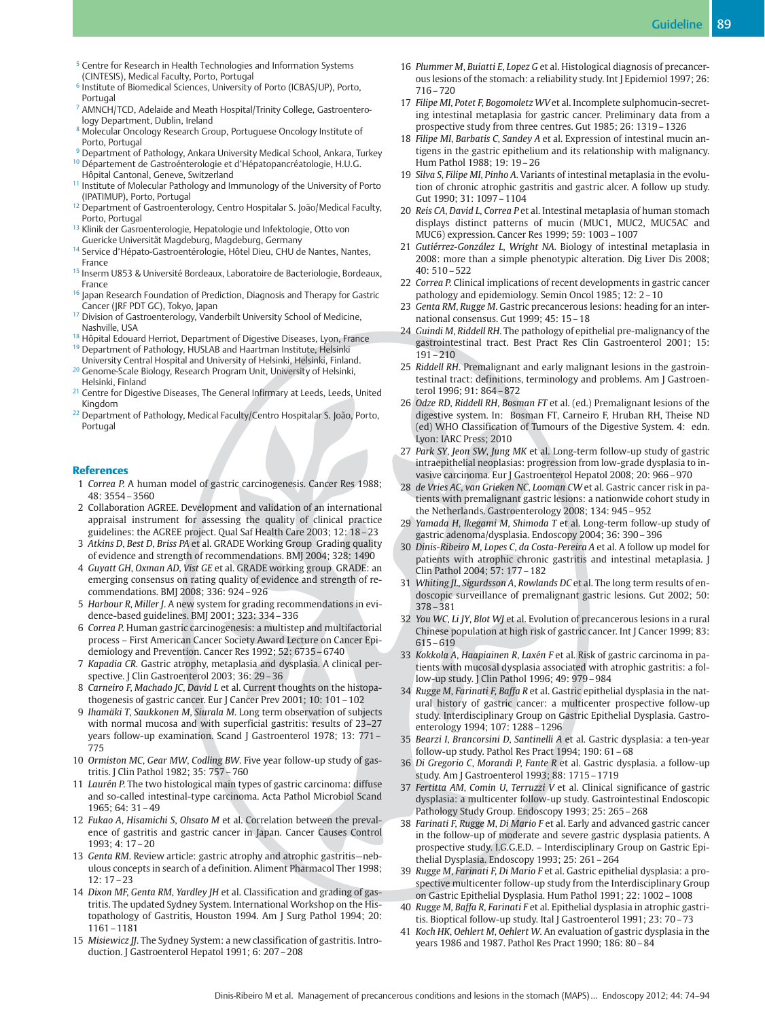- <sup>5</sup> Centre for Research in Health Technologies and Information Systems (CINTESIS), Medical Faculty, Porto, Portugal
- <sup>6</sup> Institute of Biomedical Sciences, University of Porto (ICBAS/UP), Porto, Portugal
- <sup>7</sup> AMNCH/TCD, Adelaide and Meath Hospital/Trinity College, Gastroenterology Department, Dublin, Ireland
- 8 Molecular Oncology Research Group, Portuguese Oncology Institute of Porto, Portugal
- <sup>9</sup> Department of Pathology, Ankara University Medical School, Ankara, Turkey
- <sup>10</sup> Département de Gastroénterologie et d'Hépatopancréatologie, H.U.G. Hôpital Cantonal, Geneve, Switzerland
- <sup>11</sup> Institute of Molecular Pathology and Immunology of the University of Porto (IPATIMUP), Porto, Portugal
- <sup>12</sup> Department of Gastroenterology, Centro Hospitalar S. João/Medical Faculty, Porto, Portugal
- <sup>13</sup> Klinik der Gasroenterologie, Hepatologie und Infektologie, Otto von Guericke Universität Magdeburg, Magdeburg, Germany
- <sup>14</sup> Service d'Hépato-Gastroentérologie, Hôtel Dieu, CHU de Nantes, Nantes, France
- <sup>15</sup> Inserm U853 & Université Bordeaux, Laboratoire de Bacteriologie, Bordeaux, France
- <sup>16</sup> Japan Research Foundation of Prediction, Diagnosis and Therapy for Gastric Cancer (JRF PDT GC), Tokyo, Japan
- <sup>17</sup> Division of Gastroenterology, Vanderbilt University School of Medicine, Nashville, USA
- <sup>18</sup> Hôpital Edouard Herriot, Department of Digestive Diseases, Lyon, France <sup>19</sup> Department of Pathology, HUSLAB and Haartman Institute, Helsinki
- University Central Hospital and University of Helsinki, Helsinki, Finland. <sup>20</sup> Genome-Scale Biology, Research Program Unit, University of Helsinki, Helsinki, Finland
- <sup>21</sup> Centre for Digestive Diseases, The General Infirmary at Leeds, Leeds, United Kingdom
- <sup>22</sup> Department of Pathology, Medical Faculty/Centro Hospitalar S. João, Porto, Portugal

#### **References**

- 1 Correa P. A human model of gastric carcinogenesis. Cancer Res 1988; 48: 3554–3560
- 2 Collaboration AGREE. Development and validation of an international appraisal instrument for assessing the quality of clinical practice guidelines: the AGREE project. Qual Saf Health Care 2003; 12: 18–23
- 3 Atkins D, Best D, Briss PA et al. GRADE Working Group Grading quality of evidence and strength of recommendations. BMJ 2004; 328: 1490
- 4 Guyatt GH, Oxman AD, Vist GE et al. GRADE working group GRADE: an emerging consensus on rating quality of evidence and strength of recommendations. BMJ 2008; 336: 924–926
- 5 Harbour R, Miller J. A new system for grading recommendations in evidence-based guidelines. BMJ 2001; 323: 334–336
- 6 Correa P. Human gastric carcinogenesis: a multistep and multifactorial process – First American Cancer Society Award Lecture on Cancer Epidemiology and Prevention. Cancer Res 1992; 52: 6735–6740
- 7 Kapadia CR. Gastric atrophy, metaplasia and dysplasia. A clinical perspective. J Clin Gastroenterol 2003; 36: 29–36
- 8 Carneiro F, Machado JC, David L et al. Current thoughts on the histopathogenesis of gastric cancer. Eur J Cancer Prev 2001; 10: 101–102
- 9 Ihamäki T, Saukkonen M, Siurala M. Long term observation of subjects with normal mucosa and with superficial gastritis: results of 23–27 years follow-up examination. Scand J Gastroenterol 1978; 13: 771– 775
- 10 Ormiston MC, Gear MW, Codling BW. Five year follow-up study of gastritis. J Clin Pathol 1982; 35: 757–760
- 11 Laurén P. The two histological main types of gastric carcinoma: diffuse and so-called intestinal-type carcinoma. Acta Pathol Microbiol Scand 1965; 64: 31–49
- 12 Fukao A, Hisamichi S, Ohsato M et al. Correlation between the prevalence of gastritis and gastric cancer in Japan. Cancer Causes Control 1993; 4: 17–20
- 13 Genta RM. Review article: gastric atrophy and atrophic gastritis—nebulous concepts in search of a definition. Aliment Pharmacol Ther 1998; 12: 17–23
- 14 Dixon MF, Genta RM, Yardley JH et al. Classification and grading of gastritis. The updated Sydney System. International Workshop on the Histopathology of Gastritis, Houston 1994. Am J Surg Pathol 1994; 20: 1161–1181
- 15 Misiewicz JJ. The Sydney System: a new classification of gastritis. Introduction. J Gastroenterol Hepatol 1991; 6: 207–208
- 16 Plummer M, Buiatti E, Lopez G et al. Histological diagnosis of precancerous lesions of the stomach: a reliability study. Int J Epidemiol 1997; 26: 716–720
- 17 Filipe MI, Potet F, Bogomoletz WV et al. Incomplete sulphomucin-secreting intestinal metaplasia for gastric cancer. Preliminary data from a prospective study from three centres. Gut 1985; 26: 1319–1326
- 18 Filipe MI, Barbatis C, Sandey A et al. Expression of intestinal mucin antigens in the gastric epithelium and its relationship with malignancy. Hum Pathol 1988; 19: 19–26
- 19 Silva S, Filipe MI, Pinho A. Variants of intestinal metaplasia in the evolution of chronic atrophic gastritis and gastric alcer. A follow up study. Gut 1990; 31: 1097–1104
- 20 Reis CA, David L, Correa P et al. Intestinal metaplasia of human stomach displays distinct patterns of mucin (MUC1, MUC2, MUC5AC and MUC6) expression. Cancer Res 1999; 59: 1003–1007
- 21 Gutiérrez-González L, Wright NA. Biology of intestinal metaplasia in 2008: more than a simple phenotypic alteration. Dig Liver Dis 2008; 40: 510–522
- 22 Correa P. Clinical implications of recent developments in gastric cancer pathology and epidemiology. Semin Oncol 1985; 12: 2–10
- 23 Genta RM, Rugge M. Gastric precancerous lesions: heading for an international consensus. Gut 1999; 45: 15–18
- 24 Guindi M, Riddell RH. The pathology of epithelial pre-malignancy of the gastrointestinal tract. Best Pract Res Clin Gastroenterol 2001; 15: 191–210
- 25 Riddell RH. Premalignant and early malignant lesions in the gastrointestinal tract: definitions, terminology and problems. Am J Gastroenterol 1996; 91: 864–872
- 26 Odze RD, Riddell RH, Bosman FT et al. (ed.) Premalignant lesions of the digestive system. In: Bosman FT, Carneiro F, Hruban RH, Theise ND (ed) WHO Classification of Tumours of the Digestive System. 4: edn. Lyon: IARC Press; 2010
- 27 Park SY, Jeon SW, Jung MK et al. Long-term follow-up study of gastric intraepithelial neoplasias: progression from low-grade dysplasia to invasive carcinoma. Eur J Gastroenterol Hepatol 2008; 20: 966–970
- 28 de Vries AC, van Grieken NC, Looman CW et al. Gastric cancer risk in patients with premalignant gastric lesions: a nationwide cohort study in the Netherlands. Gastroenterology 2008; 134: 945–952
- 29 Yamada H, Ikegami M, Shimoda T et al. Long-term follow-up study of gastric adenoma/dysplasia. Endoscopy 2004; 36: 390–396
- 30 Dinis-Ribeiro M, Lopes C, da Costa-Pereira A et al. A follow up model for patients with atrophic chronic gastritis and intestinal metaplasia. J Clin Pathol 2004; 57: 177–182
- 31 Whiting JL, Sigurdsson A, Rowlands DC et al. The long term results of endoscopic surveillance of premalignant gastric lesions. Gut 2002; 50: 378–381
- 32 You WC, Li JY, Blot WJ et al. Evolution of precancerous lesions in a rural Chinese population at high risk of gastric cancer. Int J Cancer 1999; 83: 615–619
- 33 Kokkola A, Haapiainen R, Laxén F et al. Risk of gastric carcinoma in patients with mucosal dysplasia associated with atrophic gastritis: a follow-up study. J Clin Pathol 1996; 49: 979–984
- 34 Rugge M, Farinati F, Baffa R et al. Gastric epithelial dysplasia in the natural history of gastric cancer: a multicenter prospective follow-up study. Interdisciplinary Group on Gastric Epithelial Dysplasia. Gastroenterology 1994; 107: 1288–1296
- 35 Bearzi I, Brancorsini D, Santinelli A et al. Gastric dysplasia: a ten-year follow-up study. Pathol Res Pract 1994; 190: 61–68
- 36 Di Gregorio C, Morandi P, Fante R et al. Gastric dysplasia. a follow-up study. Am J Gastroenterol 1993; 88: 1715–1719
- 37 Fertitta AM, Comin U, Terruzzi V et al. Clinical significance of gastric dysplasia: a multicenter follow-up study. Gastrointestinal Endoscopic Pathology Study Group. Endoscopy 1993; 25: 265–268
- 38 Farinati F, Rugge M, Di Mario F et al. Early and advanced gastric cancer in the follow-up of moderate and severe gastric dysplasia patients. A prospective study. I.G.G.E.D. – Interdisciplinary Group on Gastric Epithelial Dysplasia. Endoscopy 1993; 25: 261–264
- 39 Rugge M, Farinati F, Di Mario F et al. Gastric epithelial dysplasia: a prospective multicenter follow-up study from the Interdisciplinary Group on Gastric Epithelial Dysplasia. Hum Pathol 1991; 22: 1002–1008
- 40 Rugge M, Baffa R, Farinati F et al. Epithelial dysplasia in atrophic gastritis. Bioptical follow-up study. Ital J Gastroenterol 1991; 23: 70–73
- 41 Koch HK, Oehlert M, Oehlert W. An evaluation of gastric dysplasia in the years 1986 and 1987. Pathol Res Pract 1990; 186: 80–84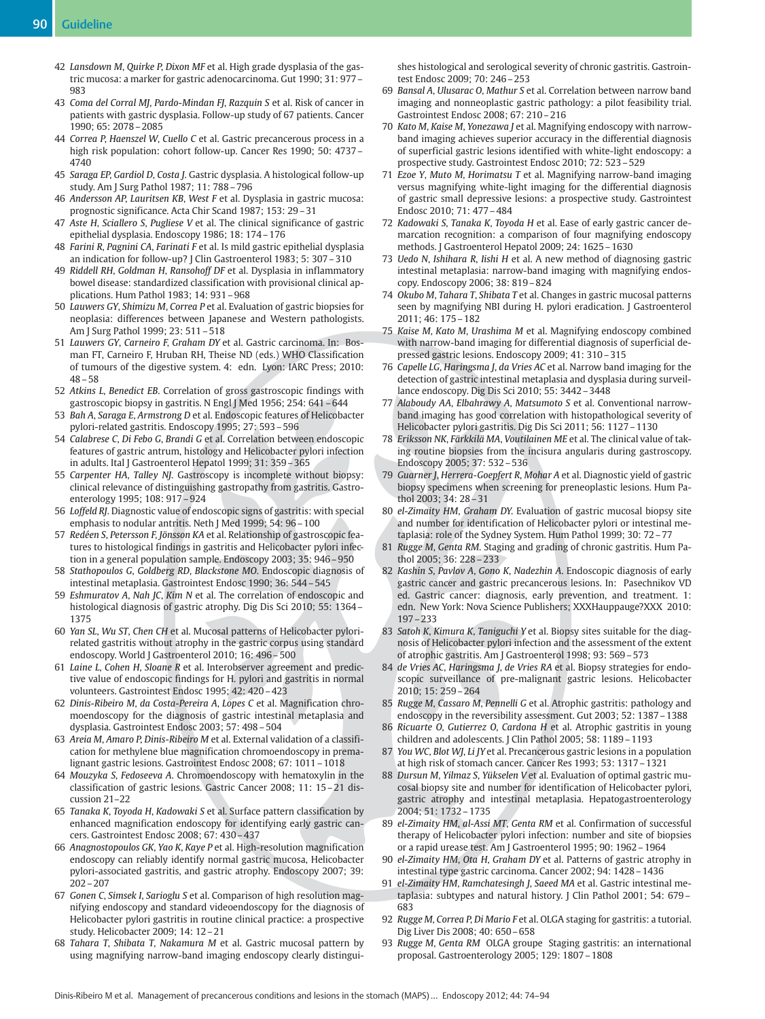- 42 Lansdown M, Quirke P, Dixon MF et al. High grade dysplasia of the gastric mucosa: a marker for gastric adenocarcinoma. Gut 1990; 31: 977– 983
- 43 Coma del Corral MJ, Pardo-Mindan FJ, Razquin S et al. Risk of cancer in patients with gastric dysplasia. Follow-up study of 67 patients. Cancer 1990; 65: 2078–2085
- 44 Correa P, Haenszel W, Cuello C et al. Gastric precancerous process in a high risk population: cohort follow-up. Cancer Res 1990; 50: 4737– 4740
- 45 Saraga EP, Gardiol D, Costa J. Gastric dysplasia. A histological follow-up study. Am J Surg Pathol 1987; 11: 788–796
- 46 Andersson AP, Lauritsen KB, West F et al. Dysplasia in gastric mucosa: prognostic significance. Acta Chir Scand 1987; 153: 29–31
- 47 Aste H, Sciallero S, Pugliese V et al. The clinical significance of gastric epithelial dysplasia. Endoscopy 1986; 18: 174–176
- 48 Farini R, Pagnini CA, Farinati F et al. Is mild gastric epithelial dysplasia an indication for follow-up? J Clin Gastroenterol 1983; 5: 307–310
- 49 Riddell RH, Goldman H, Ransohoff DF et al. Dysplasia in inflammatory bowel disease: standardized classification with provisional clinical applications. Hum Pathol 1983; 14: 931–968
- 50 Lauwers GY, Shimizu M, Correa P et al. Evaluation of gastric biopsies for neoplasia: differences between Japanese and Western pathologists. Am J Surg Pathol 1999; 23: 511–518
- 51 Lauwers GY, Carneiro F, Graham DY et al. Gastric carcinoma. In: Bosman FT, Carneiro F, Hruban RH, Theise ND (eds.) WHO Classification of tumours of the digestive system. 4: edn. Lyon: IARC Press; 2010: 48–58
- 52 Atkins L, Benedict EB. Correlation of gross gastroscopic findings with gastroscopic biopsy in gastritis. N Engl J Med 1956; 254: 641–644
- 53 Bah A, Saraga E, Armstrong D et al. Endoscopic features of Helicobacter pylori-related gastritis. Endoscopy 1995; 27: 593–596
- 54 Calabrese C, Di Febo G, Brandi G et al. Correlation between endoscopic features of gastric antrum, histology and Helicobacter pylori infection in adults. Ital J Gastroenterol Hepatol 1999; 31: 359–365
- 55 Carpenter HA, Talley NJ. Gastroscopy is incomplete without biopsy: clinical relevance of distinguishing gastropathy from gastritis. Gastroenterology 1995; 108: 917–924
- 56 Loffeld RJ. Diagnostic value of endoscopic signs of gastritis: with special emphasis to nodular antritis. Neth J Med 1999; 54: 96–100
- 57 Redéen S, Petersson F, Jönsson KA et al. Relationship of gastroscopic features to histological findings in gastritis and Helicobacter pylori infection in a general population sample. Endoscopy 2003; 35: 946–950
- 58 Stathopoulos G, Goldberg RD, Blackstone MO. Endoscopic diagnosis of intestinal metaplasia. Gastrointest Endosc 1990; 36: 544–545
- 59 Eshmuratov A, Nah JC, Kim N et al. The correlation of endoscopic and histological diagnosis of gastric atrophy. Dig Dis Sci 2010; 55: 1364– 1375
- 60 Yan SL, Wu ST, Chen CH et al. Mucosal patterns of Helicobacter pylorirelated gastritis without atrophy in the gastric corpus using standard endoscopy. World J Gastroenterol 2010; 16: 496-500
- 61 Laine L, Cohen H, Sloane R et al. Interobserver agreement and predictive value of endoscopic findings for H. pylori and gastritis in normal volunteers. Gastrointest Endosc 1995; 42: 420–423
- 62 Dinis-Ribeiro M, da Costa-Pereira A, Lopes C et al. Magnification chromoendoscopy for the diagnosis of gastric intestinal metaplasia and dysplasia. Gastrointest Endosc 2003; 57: 498–504
- 63 Areia M, Amaro P, Dinis-Ribeiro M et al. External validation of a classification for methylene blue magnification chromoendoscopy in premalignant gastric lesions. Gastrointest Endosc 2008; 67: 1011–1018
- 64 Mouzyka S, Fedoseeva A. Chromoendoscopy with hematoxylin in the classification of gastric lesions. Gastric Cancer 2008; 11: 15–21 discussion 21–22
- 65 Tanaka K, Toyoda H, Kadowaki S et al. Surface pattern classification by enhanced magnification endoscopy for identifying early gastric cancers. Gastrointest Endosc 2008; 67: 430–437
- 66 Anagnostopoulos GK, Yao K, Kaye P et al. High-resolution magnification endoscopy can reliably identify normal gastric mucosa, Helicobacter pylori-associated gastritis, and gastric atrophy. Endoscopy 2007; 39: 202–207
- 67 Gonen C, Simsek I, Sarioglu S et al. Comparison of high resolution magnifying endoscopy and standard videoendoscopy for the diagnosis of Helicobacter pylori gastritis in routine clinical practice: a prospective study. Helicobacter 2009; 14: 12–21
- 68 Tahara T, Shibata T, Nakamura M et al. Gastric mucosal pattern by using magnifying narrow-band imaging endoscopy clearly distingui-

shes histological and serological severity of chronic gastritis. Gastrointest Endosc 2009; 70: 246–253

- 69 Bansal A, Ulusarac O, Mathur S et al. Correlation between narrow band imaging and nonneoplastic gastric pathology: a pilot feasibility trial. Gastrointest Endosc 2008; 67: 210–216
- 70 Kato M, Kaise M, Yonezawa J et al. Magnifying endoscopy with narrowband imaging achieves superior accuracy in the differential diagnosis of superficial gastric lesions identified with white-light endoscopy: a prospective study. Gastrointest Endosc 2010; 72: 523–529
- 71 Ezoe Y, Muto M, Horimatsu T et al. Magnifying narrow-band imaging versus magnifying white-light imaging for the differential diagnosis of gastric small depressive lesions: a prospective study. Gastrointest Endosc 2010; 71: 477–484
- 72 Kadowaki S, Tanaka K, Toyoda H et al. Ease of early gastric cancer demarcation recognition: a comparison of four magnifying endoscopy methods. J Gastroenterol Hepatol 2009; 24: 1625–1630
- 73 Uedo N, Ishihara R, Iishi H et al. A new method of diagnosing gastric intestinal metaplasia: narrow-band imaging with magnifying endoscopy. Endoscopy 2006; 38: 819–824
- 74 Okubo M, Tahara T, Shibata T et al. Changes in gastric mucosal patterns seen by magnifying NBI during H. pylori eradication. J Gastroenterol 2011; 46: 175–182
- 75 Kaise M, Kato M, Urashima M et al. Magnifying endoscopy combined with narrow-band imaging for differential diagnosis of superficial depressed gastric lesions. Endoscopy 2009; 41: 310–315
- 76 Capelle LG, Haringsma J, da Vries AC et al. Narrow band imaging for the detection of gastric intestinal metaplasia and dysplasia during surveillance endoscopy. Dig Dis Sci 2010; 55: 3442–3448
- 77 Alaboudy AA, Elbahrawy A, Matsumoto S et al. Conventional narrowband imaging has good correlation with histopathological severity of Helicobacter pylori gastritis. Dig Dis Sci 2011; 56: 1127–1130
- 78 Eriksson NK, Färkkilä MA, Voutilainen ME et al. The clinical value of taking routine biopsies from the incisura angularis during gastroscopy. Endoscopy 2005; 37: 532–536
- 79 Guarner J, Herrera-Goepfert R, Mohar A et al. Diagnostic yield of gastric biopsy specimens when screening for preneoplastic lesions. Hum Pathol 2003; 34: 28–31
- 80 el-Zimaity HM, Graham DY. Evaluation of gastric mucosal biopsy site and number for identification of Helicobacter pylori or intestinal metaplasia: role of the Sydney System. Hum Pathol 1999; 30: 72–77
- 81 Rugge M, Genta RM. Staging and grading of chronic gastritis. Hum Pathol 2005; 36: 228–233
- 82 Kashin S, Pavlov A, Gono K, Nadezhin A. Endoscopic diagnosis of early gastric cancer and gastric precancerous lesions. In: Pasechnikov VD ed. Gastric cancer: diagnosis, early prevention, and treatment. 1: edn. New York: Nova Science Publishers; XXXHauppauge?XXX 2010: 197–233
- 83 Satoh K, Kimura K, Taniguchi Y et al. Biopsy sites suitable for the diagnosis of Helicobacter pylori infection and the assessment of the extent of atrophic gastritis. Am J Gastroenterol 1998; 93: 569–573
- 84 de Vries AC, Haringsma J, de Vries RA et al. Biopsy strategies for endoscopic surveillance of pre-malignant gastric lesions. Helicobacter 2010; 15: 259–264
- 85 Rugge M, Cassaro M, Pennelli G et al. Atrophic gastritis: pathology and endoscopy in the reversibility assessment. Gut 2003; 52: 1387–1388
- 86 Ricuarte O, Gutierrez O, Cardona H et al. Atrophic gastritis in young children and adolescents. J Clin Pathol 2005; 58: 1189–1193
- 87 You WC, Blot WJ, Li JY et al. Precancerous gastric lesions in a population at high risk of stomach cancer. Cancer Res 1993; 53: 1317–1321
- 88 Dursun M, Yilmaz S, Yükselen V et al. Evaluation of optimal gastric mucosal biopsy site and number for identification of Helicobacter pylori, gastric atrophy and intestinal metaplasia. Hepatogastroenterology 2004; 51: 1732–1735
- 89 el-Zimaity HM, al-Assi MT, Genta RM et al. Confirmation of successful therapy of Helicobacter pylori infection: number and site of biopsies or a rapid urease test. Am J Gastroenterol 1995; 90: 1962–1964
- 90 el-Zimaity HM, Ota H, Graham DY et al. Patterns of gastric atrophy in intestinal type gastric carcinoma. Cancer 2002; 94: 1428–1436
- 91 el-Zimaity HM, Ramchatesingh J, Saeed MA et al. Gastric intestinal metaplasia: subtypes and natural history. J Clin Pathol 2001; 54: 679– 683
- 92 Rugge M, Correa P, Di Mario F et al. OLGA staging for gastritis: a tutorial. Dig Liver Dis 2008; 40: 650–658
- 93 Rugge M, Genta RM OLGA groupe Staging gastritis: an international proposal. Gastroenterology 2005; 129: 1807–1808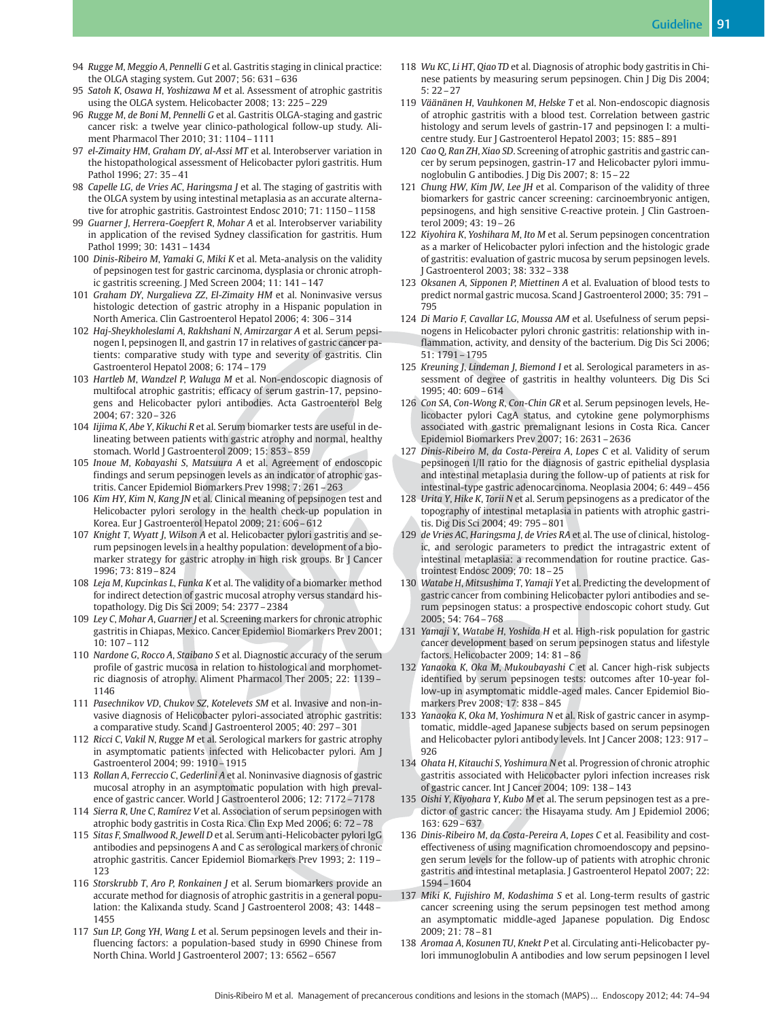- 94 Rugge M, Meggio A, Pennelli G et al. Gastritis staging in clinical practice: the OLGA staging system. Gut 2007; 56: 631–636
- 95 Satoh K, Osawa H, Yoshizawa M et al. Assessment of atrophic gastritis using the OLGA system. Helicobacter 2008; 13: 225–229
- 96 Rugge M, de Boni M, Pennelli G et al. Gastritis OLGA-staging and gastric cancer risk: a twelve year clinico-pathological follow-up study. Aliment Pharmacol Ther 2010; 31: 1104–1111
- 97 el-Zimaity HM, Graham DY, al-Assi MT et al. Interobserver variation in the histopathological assessment of Helicobacter pylori gastritis. Hum Pathol 1996; 27: 35–41
- 98 Capelle LG, de Vries AC, Haringsma J et al. The staging of gastritis with the OLGA system by using intestinal metaplasia as an accurate alternative for atrophic gastritis. Gastrointest Endosc 2010; 71: 1150–1158
- 99 Guarner J, Herrera-Goepfert R, Mohar A et al. Interobserver variability in application of the revised Sydney classification for gastritis. Hum Pathol 1999; 30: 1431–1434
- 100 Dinis-Ribeiro M, Yamaki G, Miki K et al. Meta-analysis on the validity of pepsinogen test for gastric carcinoma, dysplasia or chronic atrophic gastritis screening. J Med Screen 2004; 11: 141–147
- 101 Graham DY, Nurgalieva ZZ, El-Zimaity HM et al. Noninvasive versus histologic detection of gastric atrophy in a Hispanic population in North America. Clin Gastroenterol Hepatol 2006; 4: 306–314
- 102 Haj-Sheykholeslami A, Rakhshani N, Amirzargar A et al. Serum pepsinogen I, pepsinogen II, and gastrin 17 in relatives of gastric cancer patients: comparative study with type and severity of gastritis. Clin Gastroenterol Hepatol 2008; 6: 174–179
- 103 Hartleb M, Wandzel P, Waluga M et al. Non-endoscopic diagnosis of multifocal atrophic gastritis; efficacy of serum gastrin-17, pepsinogens and Helicobacter pylori antibodies. Acta Gastroenterol Belg 2004; 67: 320–326
- 104 Iijima K, Abe Y, Kikuchi R et al. Serum biomarker tests are useful in delineating between patients with gastric atrophy and normal, healthy stomach. World J Gastroenterol 2009; 15: 853-859
- 105 Inoue M, Kobayashi S, Matsuura A et al. Agreement of endoscopic findings and serum pepsinogen levels as an indicator of atrophic gastritis. Cancer Epidemiol Biomarkers Prev 1998; 7: 261–263
- 106 Kim HY, Kim N, Kang JN et al. Clinical meaning of pepsinogen test and Helicobacter pylori serology in the health check-up population in Korea. Eur J Gastroenterol Hepatol 2009; 21: 606–612
- 107 Knight T, Wyatt J, Wilson A et al. Helicobacter pylori gastritis and serum pepsinogen levels in a healthy population: development of a biomarker strategy for gastric atrophy in high risk groups. Br J Cancer 1996; 73: 819–824
- 108 Leja M, Kupcinkas L, Funka K et al. The validity of a biomarker method for indirect detection of gastric mucosal atrophy versus standard histopathology. Dig Dis Sci 2009; 54: 2377–2384
- 109 Ley C, Mohar A, Guarner J et al. Screening markers for chronic atrophic gastritis in Chiapas, Mexico. Cancer Epidemiol Biomarkers Prev 2001; 10: 107–112
- 110 Nardone G, Rocco A, Staibano S et al. Diagnostic accuracy of the serum profile of gastric mucosa in relation to histological and morphometric diagnosis of atrophy. Aliment Pharmacol Ther 2005; 22: 1139– 1146
- 111 Pasechnikov VD, Chukov SZ, Kotelevets SM et al. Invasive and non-invasive diagnosis of Helicobacter pylori-associated atrophic gastritis: a comparative study. Scand J Gastroenterol 2005; 40: 297–301
- 112 Ricci C, Vakil N, Rugge M et al. Serological markers for gastric atrophy in asymptomatic patients infected with Helicobacter pylori. Am J Gastroenterol 2004; 99: 1910–1915
- 113 Rollan A, Ferreccio C, Gederlini A et al. Noninvasive diagnosis of gastric mucosal atrophy in an asymptomatic population with high prevalence of gastric cancer. World J Gastroenterol 2006; 12: 7172–7178
- 114 Sierra R, Une C, Ramírez V et al. Association of serum pepsinogen with atrophic body gastritis in Costa Rica. Clin Exp Med 2006; 6: 72–78
- 115 Sitas F, Smallwood R, Jewell D et al. Serum anti-Helicobacter pylori IgG antibodies and pepsinogens A and C as serological markers of chronic atrophic gastritis. Cancer Epidemiol Biomarkers Prev 1993; 2: 119– 123
- 116 Storskrubb T, Aro P, Ronkainen J et al. Serum biomarkers provide an accurate method for diagnosis of atrophic gastritis in a general population: the Kalixanda study. Scand J Gastroenterol 2008; 43: 1448– 1455
- 117 Sun LP, Gong YH, Wang L et al. Serum pepsinogen levels and their influencing factors: a population-based study in 6990 Chinese from North China. World J Gastroenterol 2007; 13: 6562–6567
- 118 Wu KC, Li HT, Qiao TD et al. Diagnosis of atrophic body gastritis in Chinese patients by measuring serum pepsinogen. Chin J Dig Dis 2004; 5: 22–27
- 119 Väänänen H, Vauhkonen M, Helske T et al. Non-endoscopic diagnosis of atrophic gastritis with a blood test. Correlation between gastric histology and serum levels of gastrin-17 and pepsinogen I: a multicentre study. Eur J Gastroenterol Hepatol 2003; 15: 885–891
- 120 Cao Q, Ran ZH, Xiao SD. Screening of atrophic gastritis and gastric cancer by serum pepsinogen, gastrin-17 and Helicobacter pylori immunoglobulin G antibodies. J Dig Dis 2007; 8: 15–22
- 121 Chung HW, Kim JW, Lee JH et al. Comparison of the validity of three biomarkers for gastric cancer screening: carcinoembryonic antigen, pepsinogens, and high sensitive C-reactive protein. J Clin Gastroenterol 2009; 43: 19–26
- 122 Kiyohira K, Yoshihara M, Ito M et al. Serum pepsinogen concentration as a marker of Helicobacter pylori infection and the histologic grade of gastritis: evaluation of gastric mucosa by serum pepsinogen levels. J Gastroenterol 2003; 38: 332–338
- 123 Oksanen A, Sipponen P, Miettinen A et al. Evaluation of blood tests to predict normal gastric mucosa. Scand J Gastroenterol 2000; 35: 791– 795
- 124 Di Mario F, Cavallar LG, Moussa AM et al. Usefulness of serum pepsinogens in Helicobacter pylori chronic gastritis: relationship with inflammation, activity, and density of the bacterium. Dig Dis Sci 2006; 51: 1791–1795
- 125 Kreuning J, Lindeman J, Biemond I et al. Serological parameters in assessment of degree of gastritis in healthy volunteers. Dig Dis Sci 1995; 40: 609–614
- 126 Con SA, Con-Wong R, Con-Chin GR et al. Serum pepsinogen levels, Helicobacter pylori CagA status, and cytokine gene polymorphisms associated with gastric premalignant lesions in Costa Rica. Cancer Epidemiol Biomarkers Prev 2007; 16: 2631–2636
- 127 Dinis-Ribeiro M, da Costa-Pereira A, Lopes C et al. Validity of serum pepsinogen I/II ratio for the diagnosis of gastric epithelial dysplasia and intestinal metaplasia during the follow-up of patients at risk for intestinal-type gastric adenocarcinoma. Neoplasia 2004; 6: 449–456
- 128 Urita Y, Hike K, Torii N et al. Serum pepsinogens as a predicator of the topography of intestinal metaplasia in patients with atrophic gastritis. Dig Dis Sci 2004; 49: 795–801
- 129 de Vries AC, Haringsma J, de Vries RA et al. The use of clinical, histologic, and serologic parameters to predict the intragastric extent of intestinal metaplasia: a recommendation for routine practice. Gastrointest Endosc 2009; 70: 18–25
- 130 Watabe H, Mitsushima T, Yamaji Y et al. Predicting the development of gastric cancer from combining Helicobacter pylori antibodies and serum pepsinogen status: a prospective endoscopic cohort study. Gut 2005; 54: 764–768
- 131 Yamaji Y, Watabe H, Yoshida H et al. High-risk population for gastric cancer development based on serum pepsinogen status and lifestyle factors. Helicobacter 2009; 14: 81–86
- 132 Yanaoka K, Oka M, Mukoubayashi C et al. Cancer high-risk subjects identified by serum pepsinogen tests: outcomes after 10-year follow-up in asymptomatic middle-aged males. Cancer Epidemiol Biomarkers Prev 2008; 17: 838–845
- 133 Yanaoka K, Oka M, Yoshimura N et al. Risk of gastric cancer in asymptomatic, middle-aged Japanese subjects based on serum pepsinogen and Helicobacter pylori antibody levels. Int J Cancer 2008; 123: 917– 926
- 134 Ohata H, Kitauchi S, Yoshimura N et al. Progression of chronic atrophic gastritis associated with Helicobacter pylori infection increases risk of gastric cancer. Int J Cancer 2004; 109: 138–143
- 135 Oishi Y, Kiyohara Y, Kubo M et al. The serum pepsinogen test as a predictor of gastric cancer: the Hisayama study. Am J Epidemiol 2006; 163: 629–637
- 136 Dinis-Ribeiro M, da Costa-Pereira A, Lopes C et al. Feasibility and costeffectiveness of using magnification chromoendoscopy and pepsinogen serum levels for the follow-up of patients with atrophic chronic gastritis and intestinal metaplasia. J Gastroenterol Hepatol 2007; 22: 1594–1604
- 137 Miki K, Fujishiro M, Kodashima S et al. Long-term results of gastric cancer screening using the serum pepsinogen test method among an asymptomatic middle-aged Japanese population. Dig Endosc 2009; 21: 78–81
- 138 Aromaa A, Kosunen TU, Knekt P et al. Circulating anti-Helicobacter pylori immunoglobulin A antibodies and low serum pepsinogen I level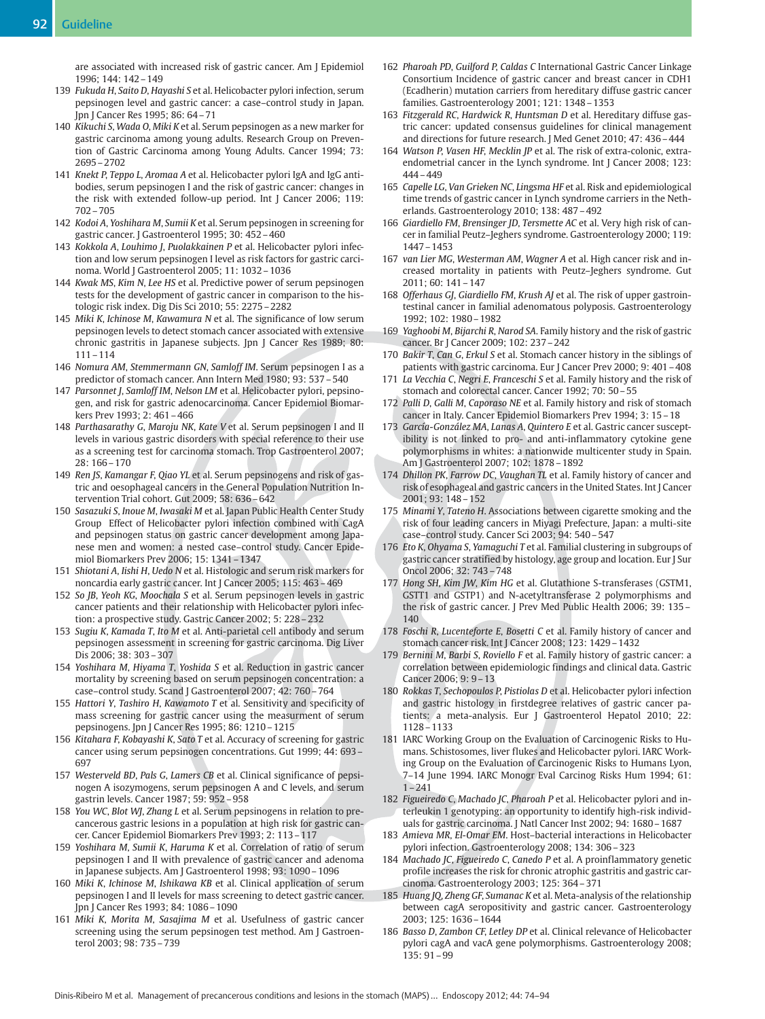are associated with increased risk of gastric cancer. Am J Epidemiol 1996; 144: 142–149

- 139 Fukuda H, Saito D, Hayashi S et al. Helicobacter pylori infection, serum pepsinogen level and gastric cancer: a case–control study in Japan. Jpn J Cancer Res 1995; 86: 64–71
- 140 Kikuchi S, Wada O, Miki K et al. Serum pepsinogen as a new marker for gastric carcinoma among young adults. Research Group on Prevention of Gastric Carcinoma among Young Adults. Cancer 1994; 73: 2695–2702
- 141 Knekt P, Teppo L, Aromaa A et al. Helicobacter pylori IgA and IgG antibodies, serum pepsinogen I and the risk of gastric cancer: changes in the risk with extended follow-up period. Int J Cancer 2006; 119: 702–705
- 142 Kodoi A, Yoshihara M, Sumii K et al. Serum pepsinogen in screening for gastric cancer. J Gastroenterol 1995; 30: 452–460
- 143 Kokkola A, Louhimo J, Puolakkainen P et al. Helicobacter pylori infection and low serum pepsinogen I level as risk factors for gastric carcinoma. World J Gastroenterol 2005; 11: 1032–1036
- 144 Kwak MS, Kim N, Lee HS et al. Predictive power of serum pepsinogen tests for the development of gastric cancer in comparison to the histologic risk index. Dig Dis Sci 2010; 55: 2275–2282
- 145 Miki K, Ichinose M, Kawamura N et al. The significance of low serum pepsinogen levels to detect stomach cancer associated with extensive chronic gastritis in Japanese subjects. Jpn J Cancer Res 1989; 80: 111–114
- 146 Nomura AM, Stemmermann GN, Samloff IM. Serum pepsinogen I as a predictor of stomach cancer. Ann Intern Med 1980; 93: 537–540
- 147 Parsonnet J, Samloff IM, Nelson LM et al. Helicobacter pylori, pepsinogen, and risk for gastric adenocarcinoma. Cancer Epidemiol Biomarkers Prev 1993; 2: 461–466
- 148 Parthasarathy G, Maroju NK, Kate V et al. Serum pepsinogen I and II levels in various gastric disorders with special reference to their use as a screening test for carcinoma stomach. Trop Gastroenterol 2007; 28: 166–170
- 149 Ren JS, Kamangar F, Qiao YL et al. Serum pepsinogens and risk of gastric and oesophageal cancers in the General Population Nutrition Intervention Trial cohort. Gut 2009; 58: 636–642
- 150 Sasazuki S, Inoue M, Iwasaki M et al. Japan Public Health Center Study Group Effect of Helicobacter pylori infection combined with CagA and pepsinogen status on gastric cancer development among Japanese men and women: a nested case–control study. Cancer Epidemiol Biomarkers Prev 2006; 15: 1341–1347
- 151 Shiotani A, Iishi H, Uedo N et al. Histologic and serum risk markers for noncardia early gastric cancer. Int J Cancer 2005; 115: 463–469
- 152 So JB, Yeoh KG, Moochala S et al. Serum pepsinogen levels in gastric cancer patients and their relationship with Helicobacter pylori infection: a prospective study. Gastric Cancer 2002; 5: 228–232
- 153 Sugiu K, Kamada T, Ito M et al. Anti-parietal cell antibody and serum pepsinogen assessment in screening for gastric carcinoma. Dig Liver Dis 2006; 38: 303–307
- 154 Yoshihara M, Hiyama T, Yoshida S et al. Reduction in gastric cancer mortality by screening based on serum pepsinogen concentration: a case–control study. Scand J Gastroenterol 2007; 42: 760–764
- 155 Hattori Y, Tashiro H, Kawamoto T et al. Sensitivity and specificity of mass screening for gastric cancer using the measurment of serum pepsinogens. Jpn J Cancer Res 1995; 86: 1210–1215
- 156 Kitahara F, Kobayashi K, Sato T et al. Accuracy of screening for gastric cancer using serum pepsinogen concentrations. Gut 1999; 44: 693– 697
- 157 Westerveld BD, Pals G, Lamers CB et al. Clinical significance of pepsinogen A isozymogens, serum pepsinogen A and C levels, and serum gastrin levels. Cancer 1987; 59: 952–958
- 158 You WC, Blot WJ, Zhang L et al. Serum pepsinogens in relation to precancerous gastric lesions in a population at high risk for gastric cancer. Cancer Epidemiol Biomarkers Prev 1993; 2: 113–117
- 159 Yoshihara M, Sumii K, Haruma K et al. Correlation of ratio of serum pepsinogen I and II with prevalence of gastric cancer and adenoma in Japanese subjects. Am J Gastroenterol 1998; 93: 1090–1096
- 160 Miki K, Ichinose M, Ishikawa KB et al. Clinical application of serum pepsinogen I and II levels for mass screening to detect gastric cancer. Jpn J Cancer Res 1993; 84: 1086–1090
- 161 Miki K, Morita M, Sasajima M et al. Usefulness of gastric cancer screening using the serum pepsinogen test method. Am J Gastroenterol 2003; 98: 735–739
- 162 Pharoah PD, Guilford P, Caldas C International Gastric Cancer Linkage Consortium Incidence of gastric cancer and breast cancer in CDH1 (Ecadherin) mutation carriers from hereditary diffuse gastric cancer families. Gastroenterology 2001; 121: 1348–1353
- 163 Fitzgerald RC, Hardwick R, Huntsman D et al. Hereditary diffuse gastric cancer: updated consensus guidelines for clinical management and directions for future research. J Med Genet 2010; 47: 436–444
- 164 Watson P, Vasen HF, Mecklin JP et al. The risk of extra-colonic, extraendometrial cancer in the Lynch syndrome. Int J Cancer 2008; 123: 444–449
- 165 Capelle LG, Van Grieken NC, Lingsma HF et al. Risk and epidemiological time trends of gastric cancer in Lynch syndrome carriers in the Netherlands. Gastroenterology 2010; 138: 487–492
- 166 Giardiello FM, Brensinger JD, Tersmette AC et al. Very high risk of cancer in familial Peutz–Jeghers syndrome. Gastroenterology 2000; 119: 1447–1453
- 167 van Lier MG, Westerman AM, Wagner A et al. High cancer risk and increased mortality in patients with Peutz–Jeghers syndrome. Gut 2011; 60: 141–147
- 168 Offerhaus GJ, Giardiello FM, Krush AJ et al. The risk of upper gastrointestinal cancer in familial adenomatous polyposis. Gastroenterology 1992; 102: 1980–1982
- 169 Yaghoobi M, Bijarchi R, Narod SA. Family history and the risk of gastric cancer. Br J Cancer 2009; 102: 237–242
- 170 Bakir T, Can G, Erkul S et al. Stomach cancer history in the siblings of patients with gastric carcinoma. Eur J Cancer Prev 2000; 9: 401–408
- 171 La Vecchia C, Negri E, Franceschi S et al. Family history and the risk of stomach and colorectal cancer. Cancer 1992; 70: 50–55
- 172 Palli D, Galli M, Caporaso NE et al. Family history and risk of stomach cancer in Italy. Cancer Epidemiol Biomarkers Prev 1994; 3: 15–18
- 173 García-González MA, Lanas A, Quintero E et al. Gastric cancer susceptibility is not linked to pro- and anti-inflammatory cytokine gene polymorphisms in whites: a nationwide multicenter study in Spain. Am J Gastroenterol 2007; 102: 1878–1892
- 174 Dhillon PK, Farrow DC, Vaughan TL et al. Family history of cancer and risk of esophageal and gastric cancers in the United States. Int J Cancer 2001; 93: 148–152
- 175 Minami Y, Tateno H. Associations between cigarette smoking and the risk of four leading cancers in Miyagi Prefecture, Japan: a multi-site case–control study. Cancer Sci 2003; 94: 540–547
- 176 Eto K, Ohyama S, Yamaguchi T et al. Familial clustering in subgroups of gastric cancer stratified by histology, age group and location. Eur J Sur Oncol 2006; 32: 743–748
- 177 Hong SH, Kim JW, Kim HG et al. Glutathione S-transferases (GSTM1, GSTT1 and GSTP1) and N-acetyltransferase 2 polymorphisms and the risk of gastric cancer. J Prev Med Public Health 2006; 39: 135– 140
- 178 Foschi R, Lucenteforte E, Bosetti C et al. Family history of cancer and stomach cancer risk. Int J Cancer 2008; 123: 1429–1432
- 179 Bernini M, Barbi S, Roviello F et al. Family history of gastric cancer: a correlation between epidemiologic findings and clinical data. Gastric Cancer 2006; 9: 9–13
- 180 Rokkas T, Sechopoulos P, Pistiolas D et al. Helicobacter pylori infection and gastric histology in firstdegree relatives of gastric cancer patients: a meta-analysis. Eur J Gastroenterol Hepatol 2010; 22: 1128–1133
- 181 IARC Working Group on the Evaluation of Carcinogenic Risks to Humans. Schistosomes, liver flukes and Helicobacter pylori. IARC Working Group on the Evaluation of Carcinogenic Risks to Humans Lyon, 7–14 June 1994. IARC Monogr Eval Carcinog Risks Hum 1994; 61: 1–241
- 182 Figueiredo C, Machado JC, Pharoah P et al. Helicobacter pylori and interleukin 1 genotyping: an opportunity to identify high-risk individuals for gastric carcinoma. J Natl Cancer Inst 2002; 94: 1680–1687
- 183 Amieva MR, El-Omar EM. Host–bacterial interactions in Helicobacter pylori infection. Gastroenterology 2008; 134: 306–323
- 184 Machado JC, Figueiredo C, Canedo P et al. A proinflammatory genetic profile increases the risk for chronic atrophic gastritis and gastric carcinoma. Gastroenterology 2003; 125: 364–371
- 185 Huang JQ, Zheng GF, Sumanac K et al. Meta-analysis of the relationship between cagA seropositivity and gastric cancer. Gastroenterology 2003; 125: 1636–1644
- 186 Basso D, Zambon CF, Letley DP et al. Clinical relevance of Helicobacter pylori cagA and vacA gene polymorphisms. Gastroenterology 2008; 135: 91–99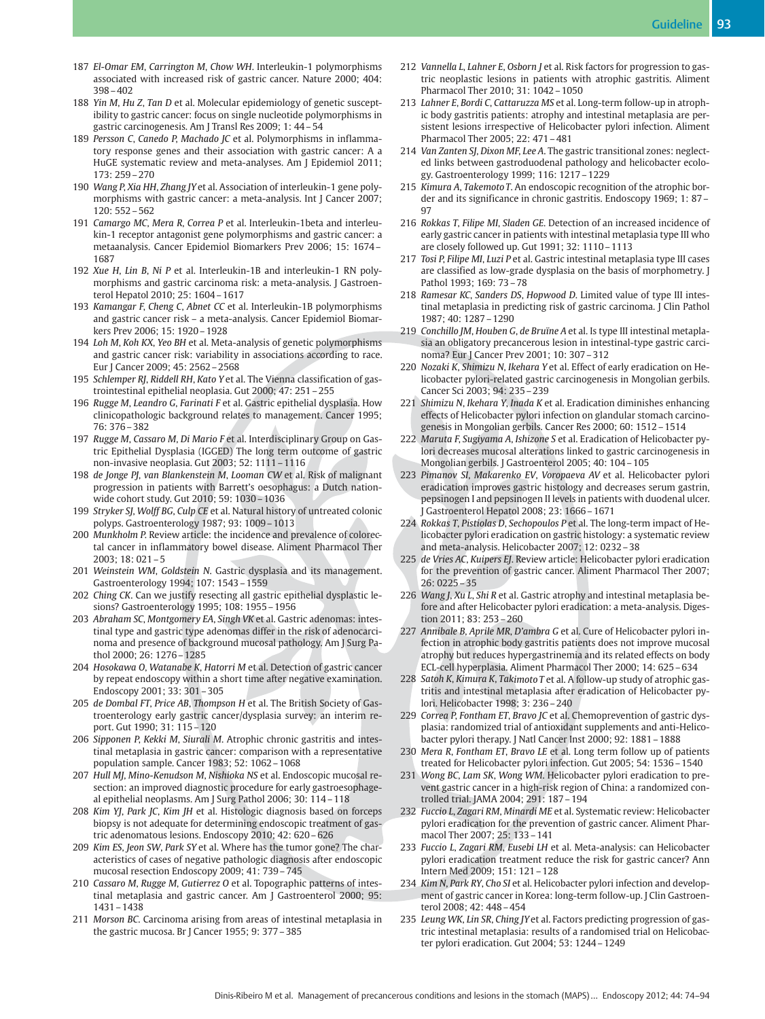- 187 El-Omar EM, Carrington M, Chow WH. Interleukin-1 polymorphisms associated with increased risk of gastric cancer. Nature 2000; 404: 398–402
- 188 Yin M, Hu Z, Tan D et al. Molecular epidemiology of genetic susceptibility to gastric cancer: focus on single nucleotide polymorphisms in gastric carcinogenesis. Am J Transl Res 2009; 1: 44–54
- 189 Persson C, Canedo P, Machado JC et al. Polymorphisms in inflammatory response genes and their association with gastric cancer: A a HuGE systematic review and meta-analyses. Am J Epidemiol 2011; 173: 259–270
- 190 Wang P, Xia HH, Zhang JY et al. Association of interleukin-1 gene polymorphisms with gastric cancer: a meta-analysis. Int J Cancer 2007; 120: 552–562
- 191 Camargo MC, Mera R, Correa P et al. Interleukin-1beta and interleukin-1 receptor antagonist gene polymorphisms and gastric cancer: a metaanalysis. Cancer Epidemiol Biomarkers Prev 2006; 15: 1674– 1687
- 192 Xue H, Lin B, Ni P et al. Interleukin-1B and interleukin-1 RN polymorphisms and gastric carcinoma risk: a meta-analysis. J Gastroenterol Hepatol 2010; 25: 1604–1617
- 193 Kamangar F, Cheng C, Abnet CC et al. Interleukin-1B polymorphisms and gastric cancer risk – a meta-analysis. Cancer Epidemiol Biomarkers Prev 2006; 15: 1920–1928
- 194 Loh M, Koh KX, Yeo BH et al. Meta-analysis of genetic polymorphisms and gastric cancer risk: variability in associations according to race. Eur J Cancer 2009; 45: 2562–2568
- 195 Schlemper RJ, Riddell RH, Kato Y et al. The Vienna classification of gastrointestinal epithelial neoplasia. Gut 2000; 47: 251–255
- 196 Rugge M, Leandro G, Farinati F et al. Gastric epithelial dysplasia. How clinicopathologic background relates to management. Cancer 1995; 76: 376–382
- 197 Rugge M, Cassaro M, Di Mario F et al. Interdisciplinary Group on Gastric Epithelial Dysplasia (IGGED) The long term outcome of gastric non-invasive neoplasia. Gut 2003; 52: 1111–1116
- 198 de Jonge PJ, van Blankenstein M, Looman CW et al. Risk of malignant progression in patients with Barrett's oesophagus: a Dutch nationwide cohort study. Gut 2010; 59: 1030–1036
- 199 Stryker SJ, Wolff BG, Culp CE et al. Natural history of untreated colonic polyps. Gastroenterology 1987; 93: 1009–1013
- 200 Munkholm P. Review article: the incidence and prevalence of colorectal cancer in inflammatory bowel disease. Aliment Pharmacol Ther 2003; 18: 021–5
- 201 Weinstein WM, Goldstein N. Gastric dysplasia and its management. Gastroenterology 1994; 107: 1543–1559
- 202 Ching CK. Can we justify resecting all gastric epithelial dysplastic lesions? Gastroenterology 1995; 108: 1955–1956
- 203 Abraham SC, Montgomery EA, Singh VK et al. Gastric adenomas: intestinal type and gastric type adenomas differ in the risk of adenocarcinoma and presence of background mucosal pathology. Am J Surg Pathol 2000; 26: 1276–1285
- 204 Hosokawa O, Watanabe K, Hatorri M et al. Detection of gastric cancer by repeat endoscopy within a short time after negative examination. Endoscopy 2001; 33: 301–305
- 205 de Dombal FT, Price AB, Thompson H et al. The British Society of Gastroenterology early gastric cancer/dysplasia survey: an interim report. Gut 1990; 31: 115–120
- 206 Sipponen P, Kekki M, Siurali M. Atrophic chronic gastritis and intestinal metaplasia in gastric cancer: comparison with a representative population sample. Cancer 1983; 52: 1062–1068
- 207 Hull MJ, Mino-Kenudson M, Nishioka NS et al. Endoscopic mucosal resection: an improved diagnostic procedure for early gastroesophageal epithelial neoplasms. Am J Surg Pathol 2006; 30: 114–118
- 208 Kim YJ, Park JC, Kim JH et al. Histologic diagnosis based on forceps biopsy is not adequate for determining endoscopic treatment of gastric adenomatous lesions. Endoscopy 2010; 42: 620–626
- 209 Kim ES, Jeon SW, Park SY et al. Where has the tumor gone? The characteristics of cases of negative pathologic diagnosis after endoscopic mucosal resection Endoscopy 2009; 41: 739–745
- 210 Cassaro M, Rugge M, Gutierrez O et al. Topographic patterns of intestinal metaplasia and gastric cancer. Am J Gastroenterol 2000; 95: 1431–1438
- 211 Morson BC. Carcinoma arising from areas of intestinal metaplasia in the gastric mucosa. Br J Cancer 1955; 9: 377–385
- 212 Vannella L, Lahner E, Osborn J et al. Risk factors for progression to gastric neoplastic lesions in patients with atrophic gastritis. Aliment Pharmacol Ther 2010; 31: 1042–1050
- 213 Lahner E, Bordi C, Cattaruzza MS et al. Long-term follow-up in atrophic body gastritis patients: atrophy and intestinal metaplasia are persistent lesions irrespective of Helicobacter pylori infection. Aliment Pharmacol Ther 2005; 22: 471–481
- 214 Van Zanten SJ, Dixon MF, Lee A. The gastric transitional zones: neglected links between gastroduodenal pathology and helicobacter ecology. Gastroenterology 1999; 116: 1217–1229
- 215 Kimura A, Takemoto T. An endoscopic recognition of the atrophic border and its significance in chronic gastritis. Endoscopy 1969; 1: 87– 97
- 216 Rokkas T, Filipe MI, Sladen GE. Detection of an increased incidence of early gastric cancer in patients with intestinal metaplasia type III who are closely followed up. Gut 1991; 32: 1110–1113
- 217 Tosi P, Filipe MI, Luzi P et al. Gastric intestinal metaplasia type III cases are classified as low-grade dysplasia on the basis of morphometry. J Pathol 1993; 169: 73–78
- 218 Ramesar KC, Sanders DS, Hopwood D. Limited value of type III intestinal metaplasia in predicting risk of gastric carcinoma. J Clin Pathol 1987; 40: 1287–1290
- 219 Conchillo JM, Houben G, de Bruïne A et al. Is type III intestinal metaplasia an obligatory precancerous lesion in intestinal-type gastric carcinoma? Eur J Cancer Prev 2001; 10: 307–312
- 220 Nozaki K, Shimizu N, Ikehara Y et al. Effect of early eradication on Helicobacter pylori-related gastric carcinogenesis in Mongolian gerbils. Cancer Sci 2003; 94: 235–239
- 221 Shimizu N, Ikehara Y, Inada K et al. Eradication diminishes enhancing effects of Helicobacter pylori infection on glandular stomach carcinogenesis in Mongolian gerbils. Cancer Res 2000; 60: 1512–1514
- 222 Maruta F, Sugiyama A, Ishizone S et al. Eradication of Helicobacter pylori decreases mucosal alterations linked to gastric carcinogenesis in Mongolian gerbils. J Gastroenterol 2005; 40: 104–105
- 223 Pimanov SI, Makarenko EV, Voropaeva AV et al. Helicobacter pylori eradication improves gastric histology and decreases serum gastrin, pepsinogen I and pepsinogen II levels in patients with duodenal ulcer. J Gastroenterol Hepatol 2008; 23: 1666–1671
- 224 Rokkas T, Pistiolas D, Sechopoulos P et al. The long-term impact of Helicobacter pylori eradication on gastric histology: a systematic review and meta-analysis. Helicobacter 2007; 12: 0232–38
- 225 de Vries AC, Kuipers EJ. Review article: Helicobacter pylori eradication for the prevention of gastric cancer. Aliment Pharmacol Ther 2007; 26: 0225–35
- 226 Wang J, Xu L, Shi R et al. Gastric atrophy and intestinal metaplasia before and after Helicobacter pylori eradication: a meta-analysis. Digestion 2011; 83: 253–260
- 227 Annibale B, Aprile MR, D'ambra G et al. Cure of Helicobacter pylori infection in atrophic body gastritis patients does not improve mucosal atrophy but reduces hypergastrinemia and its related effects on body ECL-cell hyperplasia. Aliment Pharmacol Ther 2000; 14: 625–634
- 228 Satoh K, Kimura K, Takimoto T et al. A follow-up study of atrophic gastritis and intestinal metaplasia after eradication of Helicobacter pylori. Helicobacter 1998; 3: 236–240
- 229 Correa P, Fontham ET, Bravo JC et al. Chemoprevention of gastric dysplasia: randomized trial of antioxidant supplements and anti-Helicobacter pylori therapy. J Natl Cancer Inst 2000; 92: 1881–1888
- 230 Mera R, Fontham ET, Bravo LE et al. Long term follow up of patients treated for Helicobacter pylori infection. Gut 2005; 54: 1536–1540
- 231 Wong BC, Lam SK, Wong WM. Helicobacter pylori eradication to prevent gastric cancer in a high-risk region of China: a randomized controlled trial. JAMA 2004; 291: 187–194
- 232 Fuccio L, Zagari RM, Minardi ME et al. Systematic review: Helicobacter pylori eradication for the prevention of gastric cancer. Aliment Pharmacol Ther 2007; 25: 133–141
- 233 Fuccio L, Zagari RM, Eusebi LH et al. Meta-analysis: can Helicobacter pylori eradication treatment reduce the risk for gastric cancer? Ann Intern Med 2009; 151: 121–128
- 234 Kim N, Park RY, Cho SI et al. Helicobacter pylori infection and development of gastric cancer in Korea: long-term follow-up. J Clin Gastroenterol 2008; 42: 448–454
- 235 Leung WK, Lin SR, Ching JY et al. Factors predicting progression of gastric intestinal metaplasia: results of a randomised trial on Helicobacter pylori eradication. Gut 2004; 53: 1244–1249